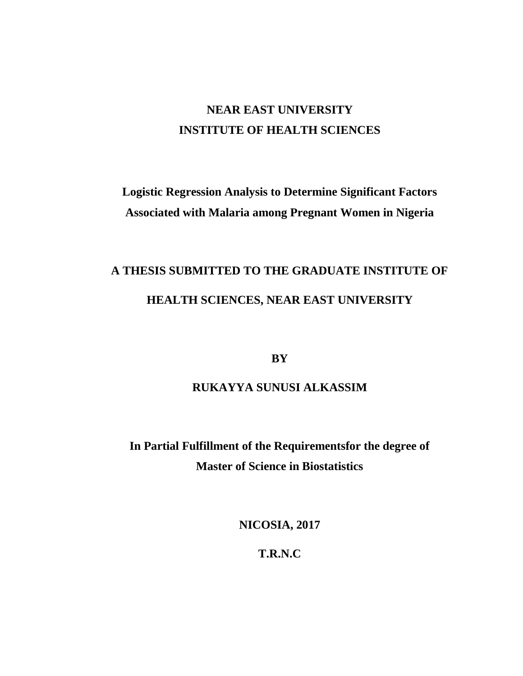## **NEAR EAST UNIVERSITY INSTITUTE OF HEALTH SCIENCES**

## **Logistic Regression Analysis to Determine Significant Factors Associated with Malaria among Pregnant Women in Nigeria**

# **A THESIS SUBMITTED TO THE GRADUATE INSTITUTE OF HEALTH SCIENCES, NEAR EAST UNIVERSITY**

**BY**

## **RUKAYYA SUNUSI ALKASSIM**

**In Partial Fulfillment of the Requirementsfor the degree of Master of Science in Biostatistics**

**NICOSIA, 2017**

**T.R.N.C**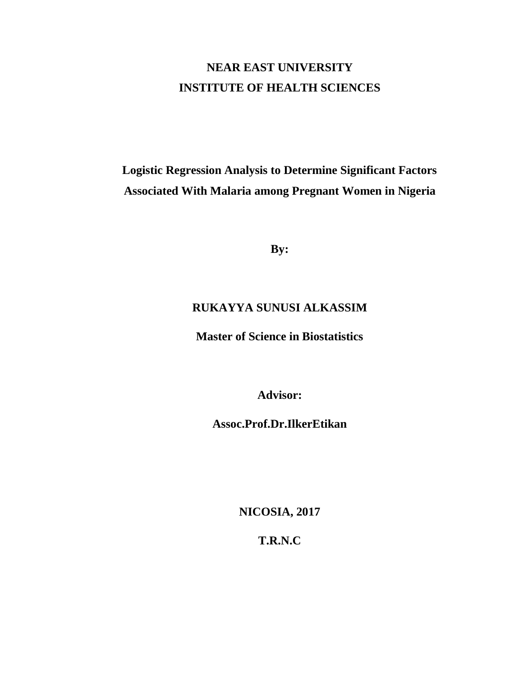## **NEAR EAST UNIVERSITY INSTITUTE OF HEALTH SCIENCES**

## **Logistic Regression Analysis to Determine Significant Factors Associated With Malaria among Pregnant Women in Nigeria**

**By:**

### **RUKAYYA SUNUSI ALKASSIM**

**Master of Science in Biostatistics**

**Advisor:**

**Assoc.Prof.Dr.IlkerEtikan**

**NICOSIA, 2017**

**T.R.N.C**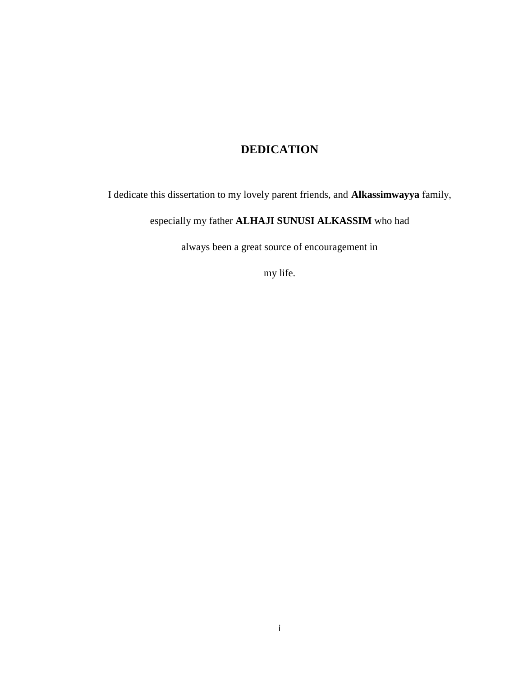### **DEDICATION**

I dedicate this dissertation to my lovely parent friends, and **Alkassimwayya** family,

especially my father **ALHAJI SUNUSI ALKASSIM** who had

always been a great source of encouragement in

my life.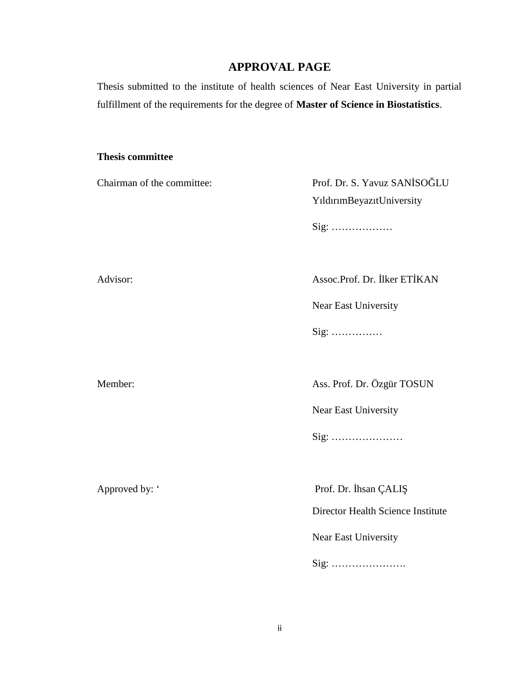### **APPROVAL PAGE**

Thesis submitted to the institute of health sciences of Near East University in partial fulfillment of the requirements for the degree of **Master of Science in Biostatistics**.

#### **Thesis committee**

Chairman of the committee:  $\angle$  Prof. Dr. S. Yavuz SAN SO LU YıldırımBeyazıtUniversity

Sig: ………………

Advisor: Assoc.Prof. Dr. Iker ET KAN

Near East University

Sig: ……………

Member: Ass. Prof. Dr. Özgür TOSUN

Near East University

Sig: …………………

Approved by: ' Prof. Dr. hsan ÇALI

Director Health Science Institute

Near East University

Sig: ………………….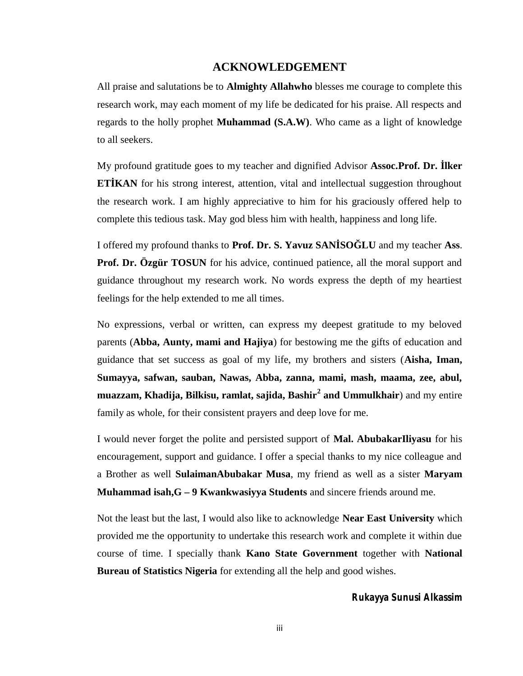#### **ACKNOWLEDGEMENT**

All praise and salutations be to **Almighty Allahwho** blesses me courage to complete this research work, may each moment of my life be dedicated for his praise. All respects and regards to the holly prophet **Muhammad (S.A.W)**. Who came as a light of knowledge to all seekers.

My profound gratitude goes to my teacher and dignified Advisor **Assoc.Prof. Dr. İlker ET KAN** for his strong interest, attention, vital and intellectual suggestion throughout the research work. I am highly appreciative to him for his graciously offered help to complete this tedious task. May god bless him with health, happiness and long life.

I offered my profound thanks to **Prof. Dr. S. Yavuz SAN SO** LU and my teacher **Ass**. **Prof. Dr. Özgür TOSUN** for his advice, continued patience, all the moral support and guidance throughout my research work. No words express the depth of my heartiest feelings for the help extended to me all times.

No expressions, verbal or written, can express my deepest gratitude to my beloved parents (**Abba, Aunty, mami and Hajiya**) for bestowing me the gifts of education and guidance that set success as goal of my life, my brothers and sisters (**Aisha, Iman, Sumayya, safwan, sauban, Nawas, Abba, zanna, mami, mash, maama, zee, abul, muazzam, Khadija, Bilkisu, ramlat, sajida, Bashir<sup>2</sup> and Ummulkhair**) and my entire family as whole, for their consistent prayers and deep love for me.

I would never forget the polite and persisted support of **Mal. AbubakarIliyasu** for his encouragement, support and guidance. I offer a special thanks to my nice colleague and a Brother as well **SulaimanAbubakar Musa**, my friend as well as a sister **Maryam Muhammad isah,G – 9 Kwankwasiyya Students** and sincere friends around me.

Not the least but the last, I would also like to acknowledge **Near East University** which provided me the opportunity to undertake this research work and complete it within due course of time. I specially thank **Kano State Government** together with **National Bureau of Statistics Nigeria** for extending all the help and good wishes.

#### *Rukayya Sunusi Alkassim*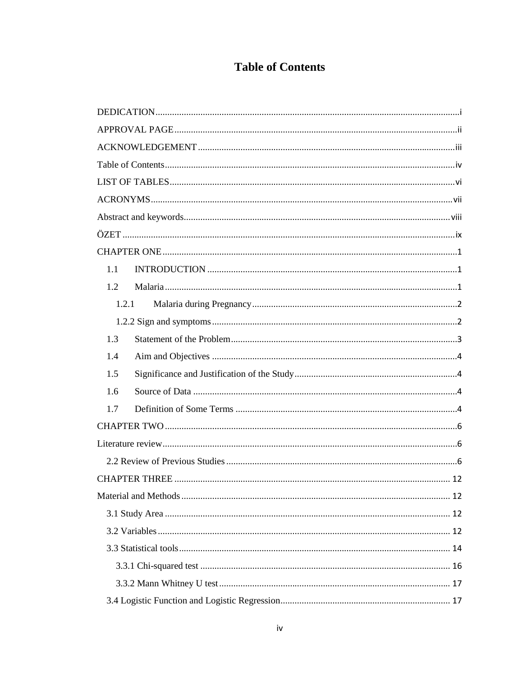## **Table of Contents**

| 1.1   |
|-------|
| 1.2   |
| 1.2.1 |
|       |
| 1.3   |
| 1.4   |
| 1.5   |
| 1.6   |
| 1.7   |
|       |
|       |
|       |
|       |
|       |
|       |
|       |
|       |
|       |
|       |
|       |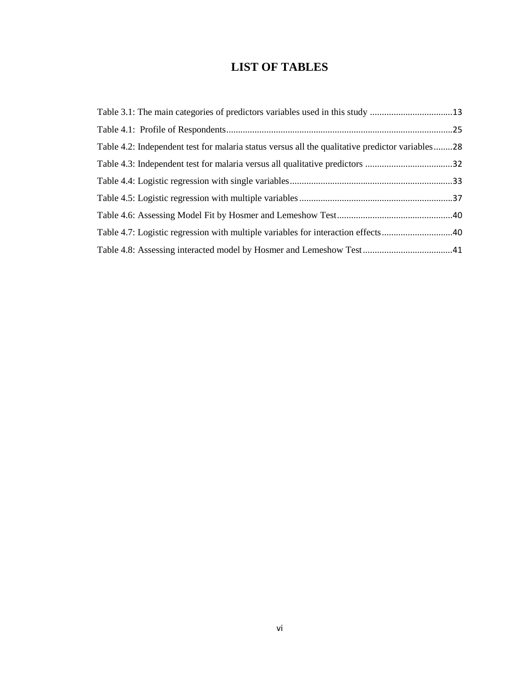## **LIST OF TABLES**

| Table 3.1: The main categories of predictors variables used in this study 13                    |  |
|-------------------------------------------------------------------------------------------------|--|
|                                                                                                 |  |
| Table 4.2: Independent test for malaria status versus all the qualitative predictor variables28 |  |
|                                                                                                 |  |
|                                                                                                 |  |
|                                                                                                 |  |
|                                                                                                 |  |
| Table 4.7: Logistic regression with multiple variables for interaction effects40                |  |
|                                                                                                 |  |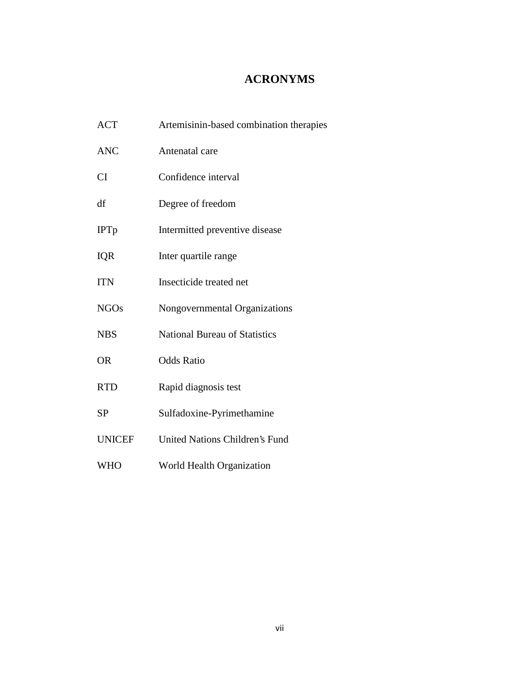### **ACRONYMS**

| <b>ACT</b>    | Artemisinin-based combination therapies |
|---------------|-----------------------------------------|
| <b>ANC</b>    | Antenatal care                          |
| CI            | Confidence interval                     |
| df            | Degree of freedom                       |
| <b>IPTp</b>   | Intermitted preventive disease          |
| <b>IQR</b>    | Inter quartile range                    |
| <b>ITN</b>    | Insecticide treated net                 |
| <b>NGOs</b>   | Nongovernmental Organizations           |
| <b>NBS</b>    | <b>National Bureau of Statistics</b>    |
| <b>OR</b>     | <b>Odds Ratio</b>                       |
| <b>RTD</b>    | Rapid diagnosis test                    |
| <b>SP</b>     | Sulfadoxine-Pyrimethamine               |
| <b>UNICEF</b> | United Nations Children's Fund          |
| <b>WHO</b>    | World Health Organization               |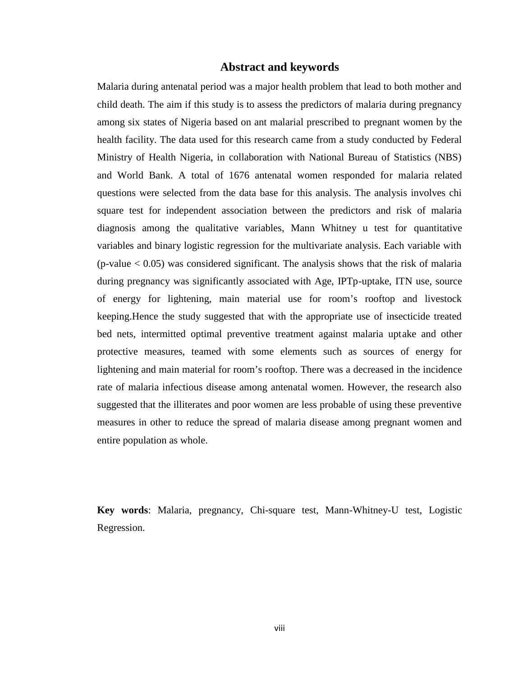#### **Abstract and keywords**

Malaria during antenatal period was a major health problem that lead to both mother and child death. The aim if this study is to assess the predictors of malaria during pregnancy among six states of Nigeria based on ant malarial prescribed to pregnant women by the health facility. The data used for this research came from a study conducted by Federal Ministry of Health Nigeria, in collaboration with National Bureau of Statistics (NBS) and World Bank. A total of 1676 antenatal women responded for malaria related questions were selected from the data base for this analysis. The analysis involves chi square test for independent association between the predictors and risk of malaria diagnosis among the qualitative variables, Mann Whitney u test for quantitative variables and binary logistic regression for the multivariate analysis. Each variable with  $(p-value < 0.05)$  was considered significant. The analysis shows that the risk of malaria during pregnancy was significantly associated with Age, IPTp-uptake, ITN use, source of energy for lightening, main material use for room's rooftop and livestock keeping.Hence the study suggested that with the appropriate use of insecticide treated bed nets, intermitted optimal preventive treatment against malaria uptake and other protective measures, teamed with some elements such as sources of energy for lightening and main material for room's rooftop. There was a decreased in the incidence rate of malaria infectious disease among antenatal women. However, the research also suggested that the illiterates and poor women are less probable of using these preventive measures in other to reduce the spread of malaria disease among pregnant women and entire population as whole.

**Key words**: Malaria, pregnancy, Chi-square test, Mann-Whitney-U test, Logistic Regression.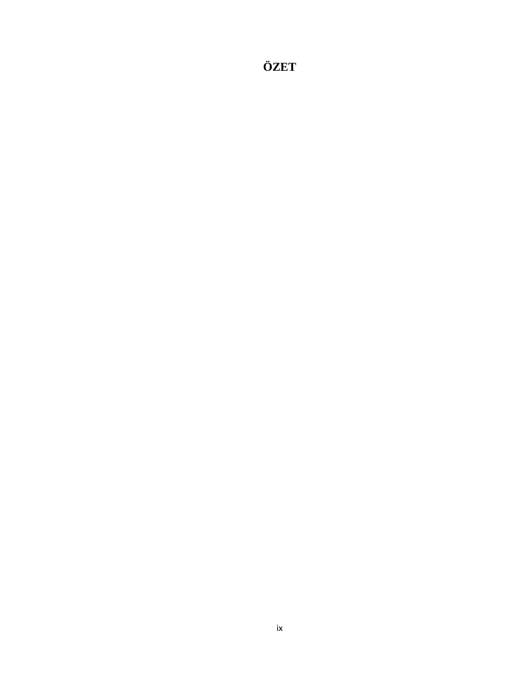**ÖZET**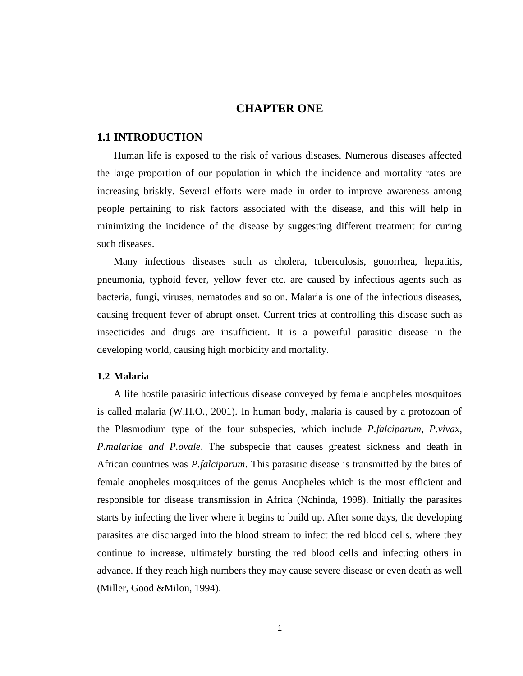### **CHAPTER ONE**

#### **1.1 INTRODUCTION**

Human life is exposed to the risk of various diseases. Numerous diseases affected the large proportion of our population in which the incidence and mortality rates are increasing briskly. Several efforts were made in order to improve awareness among people pertaining to risk factors associated with the disease, and this will help in minimizing the incidence of the disease by suggesting different treatment for curing such diseases.

Many infectious diseases such as cholera, tuberculosis, gonorrhea, hepatitis, pneumonia, typhoid fever, yellow fever etc. are caused by infectious agents such as bacteria, fungi, viruses, nematodes and so on. Malaria is one of the infectious diseases, causing frequent fever of abrupt onset. Current tries at controlling this disease such as insecticides and drugs are insufficient. It is a powerful parasitic disease in the developing world, causing high morbidity and mortality.

#### **1.2 Malaria**

A life hostile parasitic infectious disease conveyed by female anopheles mosquitoes is called malaria (W.H.O., 2001). In human body, malaria is caused by a protozoan of the Plasmodium type of the four subspecies, which include *P.falciparum, P.vivax, P.malariae and P.ovale*. The subspecie that causes greatest sickness and death in African countries was *P.falciparum*. This parasitic disease is transmitted by the bites of female anopheles mosquitoes of the genus Anopheles which is the most efficient and responsible for disease transmission in Africa (Nchinda, 1998). Initially the parasites starts by infecting the liver where it begins to build up. After some days, the developing parasites are discharged into the blood stream to infect the red blood cells, where they continue to increase, ultimately bursting the red blood cells and infecting others in advance. If they reach high numbers they may cause severe disease or even death as well (Miller, Good &Milon, 1994).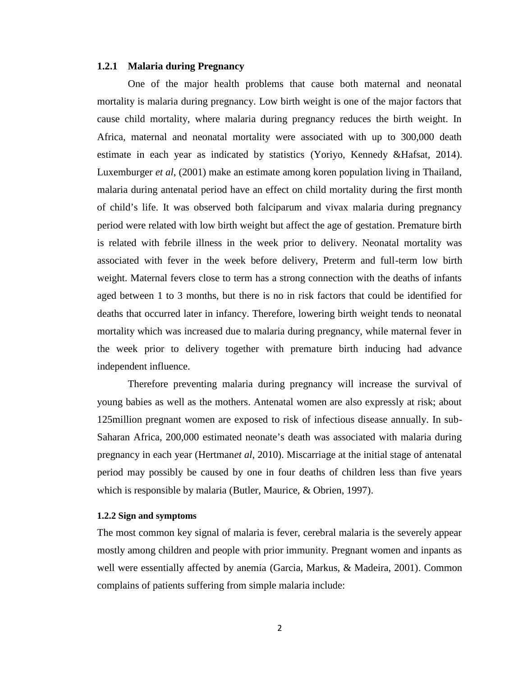#### **1.2.1 Malaria during Pregnancy**

One of the major health problems that cause both maternal and neonatal mortality is malaria during pregnancy. Low birth weight is one of the major factors that cause child mortality, where malaria during pregnancy reduces the birth weight. In Africa, maternal and neonatal mortality were associated with up to 300,000 death estimate in each year as indicated by statistics (Yoriyo, Kennedy &Hafsat, 2014). Luxemburger *et al*, (2001) make an estimate among koren population living in Thailand, malaria during antenatal period have an effect on child mortality during the first month of child's life. It was observed both falciparum and vivax malaria during pregnancy period were related with low birth weight but affect the age of gestation. Premature birth is related with febrile illness in the week prior to delivery. Neonatal mortality was associated with fever in the week before delivery, Preterm and full-term low birth weight. Maternal fevers close to term has a strong connection with the deaths of infants aged between 1 to 3 months, but there is no in risk factors that could be identified for deaths that occurred later in infancy. Therefore, lowering birth weight tends to neonatal mortality which was increased due to malaria during pregnancy, while maternal fever in the week prior to delivery together with premature birth inducing had advance independent influence.

Therefore preventing malaria during pregnancy will increase the survival of young babies as well as the mothers. Antenatal women are also expressly at risk; about 125million pregnant women are exposed to risk of infectious disease annually. In sub- Saharan Africa, 200,000 estimated neonate's death was associated with malaria during pregnancy in each year (Hertman*et al*, 2010). Miscarriage at the initial stage of antenatal period may possibly be caused by one in four deaths of children less than five years which is responsible by malaria (Butler, Maurice, & Obrien, 1997).

#### **1.2.2 Sign and symptoms**

The most common key signal of malaria is fever, cerebral malaria is the severely appear mostly among children and people with prior immunity. Pregnant women and inpants as well were essentially affected by anemia (Garcia, Markus, & Madeira, 2001). Common complains of patients suffering from simple malaria include: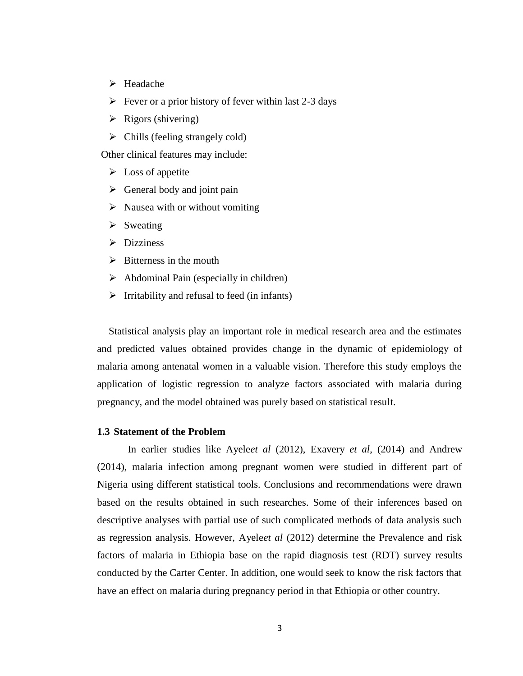- Headache
- $\triangleright$  Fever or a prior history of fever within last 2-3 days
- $\triangleright$  Rigors (shivering)
- $\triangleright$  Chills (feeling strangely cold)

Other clinical features may include:

- $\triangleright$  Loss of appetite
- $\triangleright$  General body and joint pain
- $\triangleright$  Nausea with or without vomiting
- $\triangleright$  Sweating
- $\triangleright$  Dizziness
- $\triangleright$  Bitterness in the mouth
- $\triangleright$  Abdominal Pain (especially in children)
- $\triangleright$  Irritability and refusal to feed (in infants)

Statistical analysis play an important role in medical research area and the estimates and predicted values obtained provides change in the dynamic of epidemiology of malaria among antenatal women in a valuable vision. Therefore this study employs the application of logistic regression to analyze factors associated with malaria during pregnancy, and the model obtained was purely based on statistical result.

#### **1.3 Statement of the Problem**

In earlier studies like Ayele*et al* (2012), Exavery *et al*, (2014) and Andrew (2014), malaria infection among pregnant women were studied in different part of Nigeria using different statistical tools. Conclusions and recommendations were drawn based on the results obtained in such researches. Some of their inferences based on descriptive analyses with partial use of such complicated methods of data analysis such as regression analysis. However, Ayele*et al* (2012) determine the Prevalence and risk factors of malaria in Ethiopia base on the rapid diagnosis test (RDT) survey results conducted by the Carter Center. In addition, one would seek to know the risk factors that have an effect on malaria during pregnancy period in that Ethiopia or other country.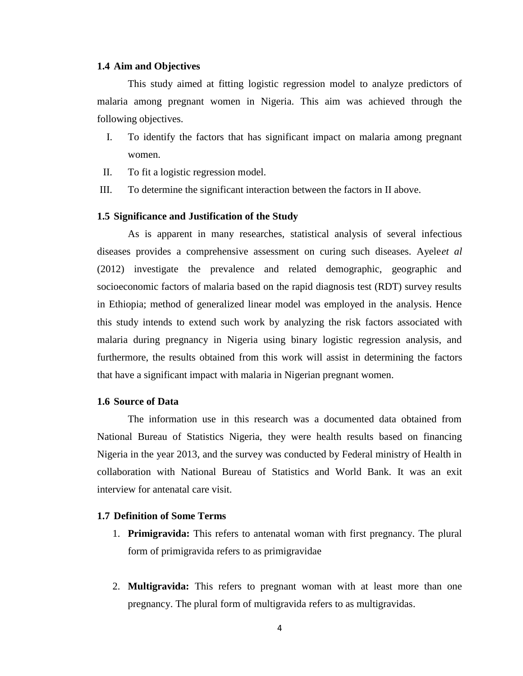#### **1.4 Aim and Objectives**

This study aimed at fitting logistic regression model to analyze predictors of malaria among pregnant women in Nigeria. This aim was achieved through the following objectives.

- I. To identify the factors that has significant impact on malaria among pregnant women.
- II. To fit a logistic regression model.
- III. To determine the significant interaction between the factors in II above.

#### **1.5 Significance and Justification of the Study**

As is apparent in many researches, statistical analysis of several infectious diseases provides a comprehensive assessment on curing such diseases. Ayele*et al* (2012) investigate the prevalence and related demographic, geographic and socioeconomic factors of malaria based on the rapid diagnosis test (RDT) survey results in Ethiopia; method of generalized linear model was employed in the analysis. Hence this study intends to extend such work by analyzing the risk factors associated with malaria during pregnancy in Nigeria using binary logistic regression analysis, and furthermore, the results obtained from this work will assist in determining the factors that have a significant impact with malaria in Nigerian pregnant women.

#### **1.6 Source of Data**

The information use in this research was a documented data obtained from National Bureau of Statistics Nigeria, they were health results based on financing Nigeria in the year 2013, and the survey was conducted by Federal ministry of Health in collaboration with National Bureau of Statistics and World Bank. It was an exit interview for antenatal care visit.

#### **1.7 Definition of Some Terms**

- 1. **Primigravida:** This refers to antenatal woman with first pregnancy. The plural form of primigravida refers to as primigravidae
- 2. **Multigravida:** This refers to pregnant woman with at least more than one pregnancy. The plural form of multigravida refers to as multigravidas.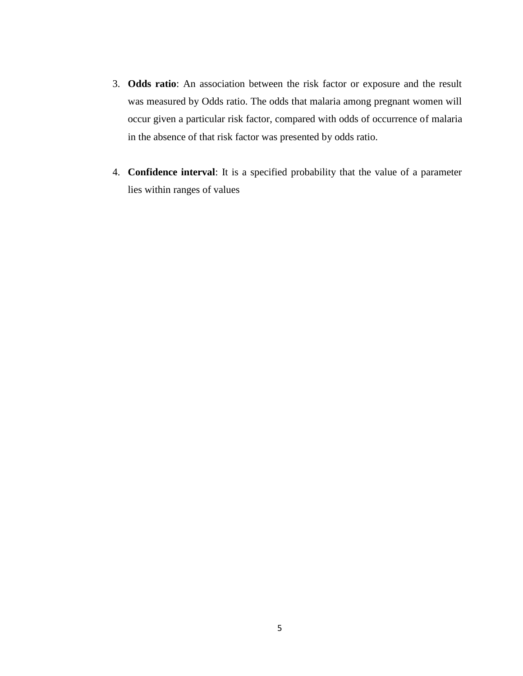- 3. **Odds ratio**: An association between the risk factor or exposure and the result was measured by Odds ratio. The odds that malaria among pregnant women will occur given a particular risk factor, compared with odds of occurrence of malaria in the absence of that risk factor was presented by odds ratio.
- 4. **Confidence interval**: It is a specified probability that the value of a parameter lies within ranges of values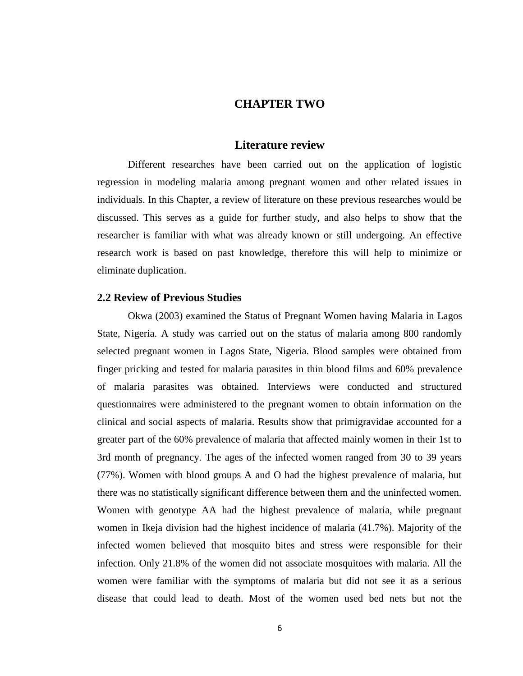### **CHAPTER TWO**

#### **Literature review**

Different researches have been carried out on the application of logistic regression in modeling malaria among pregnant women and other related issues in individuals. In this Chapter, a review of literature on these previous researches would be discussed. This serves as a guide for further study, and also helps to show that the researcher is familiar with what was already known or still undergoing. An effective research work is based on past knowledge, therefore this will help to minimize or eliminate duplication.

#### **2.2 Review of Previous Studies**

Okwa (2003) examined the Status of Pregnant Women having Malaria in Lagos State, Nigeria. A study was carried out on the status of malaria among 800 randomly selected pregnant women in Lagos State, Nigeria. Blood samples were obtained from finger pricking and tested for malaria parasites in thin blood films and 60% prevalence of malaria parasites was obtained. Interviews were conducted and structured questionnaires were administered to the pregnant women to obtain information on the clinical and social aspects of malaria. Results show that primigravidae accounted for a greater part of the 60% prevalence of malaria that affected mainly women in their 1st to 3rd month of pregnancy. The ages of the infected women ranged from 30 to 39 years (77%). Women with blood groups A and O had the highest prevalence of malaria, but there was no statistically significant difference between them and the uninfected women. Women with genotype AA had the highest prevalence of malaria, while pregnant women in Ikeja division had the highest incidence of malaria (41.7%). Majority of the infected women believed that mosquito bites and stress were responsible for their infection. Only 21.8% of the women did not associate mosquitoes with malaria. All the women were familiar with the symptoms of malaria but did not see it as a serious disease that could lead to death. Most of the women used bed nets but not the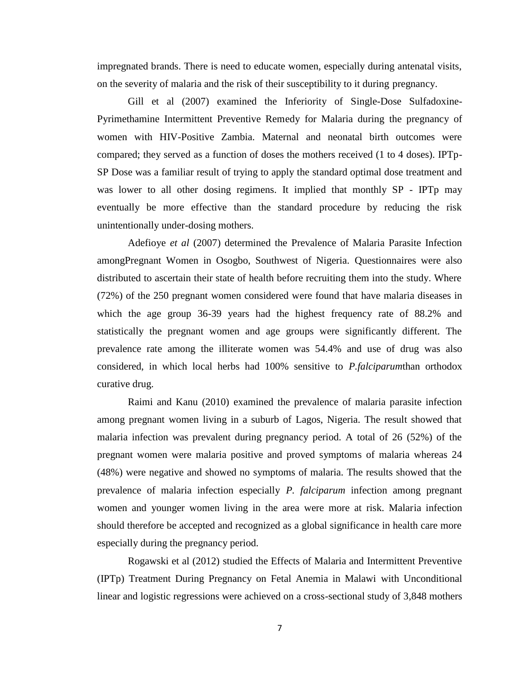impregnated brands. There is need to educate women, especially during antenatal visits, on the severity of malaria and the risk of their susceptibility to it during pregnancy.

Gill et al (2007) examined the Inferiority of Single-Dose Sulfadoxine- Pyrimethamine Intermittent Preventive Remedy for Malaria during the pregnancy of women with HIV-Positive Zambia. Maternal and neonatal birth outcomes were compared; they served as a function of doses the mothers received (1 to 4 doses). IPTp- SP Dose was a familiar result of trying to apply the standard optimal dose treatment and was lower to all other dosing regimens. It implied that monthly SP - IPTp may eventually be more effective than the standard procedure by reducing the risk unintentionally under-dosing mothers.

Adefioye *et al* (2007) determined the Prevalence of Malaria Parasite Infection amongPregnant Women in Osogbo, Southwest of Nigeria. Questionnaires were also distributed to ascertain their state of health before recruiting them into the study. Where (72%) of the 250 pregnant women considered were found that have malaria diseases in which the age group 36-39 years had the highest frequency rate of 88.2% and statistically the pregnant women and age groups were significantly different. The prevalence rate among the illiterate women was 54.4% and use of drug was also considered, in which local herbs had 100% sensitive to *P.falciparum*than orthodox curative drug.

Raimi and Kanu (2010) examined the prevalence of malaria parasite infection among pregnant women living in a suburb of Lagos, Nigeria. The result showed that malaria infection was prevalent during pregnancy period. A total of 26 (52%) of the pregnant women were malaria positive and proved symptoms of malaria whereas 24 (48%) were negative and showed no symptoms of malaria. The results showed that the prevalence of malaria infection especially *P. falciparum* infection among pregnant women and younger women living in the area were more at risk. Malaria infection should therefore be accepted and recognized as a global significance in health care more especially during the pregnancy period.

Rogawski et al (2012) studied the Effects of Malaria and Intermittent Preventive (IPTp) Treatment During Pregnancy on Fetal Anemia in Malawi with Unconditional linear and logistic regressions were achieved on a cross-sectional study of 3,848 mothers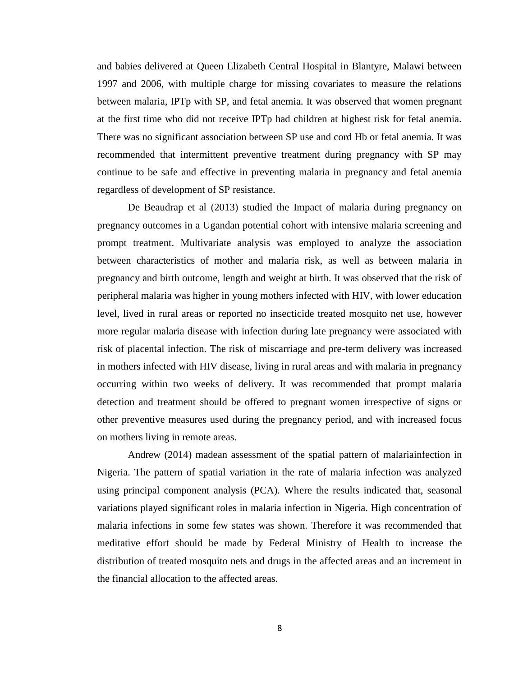and babies delivered at Queen Elizabeth Central Hospital in Blantyre, Malawi between 1997 and 2006, with multiple charge for missing covariates to measure the relations between malaria, IPTp with SP, and fetal anemia. It was observed that women pregnant at the first time who did not receive IPTp had children at highest risk for fetal anemia. There was no significant association between SP use and cord Hb or fetal anemia. It was recommended that intermittent preventive treatment during pregnancy with SP may continue to be safe and effective in preventing malaria in pregnancy and fetal anemia regardless of development of SP resistance.

De Beaudrap et al (2013) studied the Impact of malaria during pregnancy on pregnancy outcomes in a Ugandan potential cohort with intensive malaria screening and prompt treatment. Multivariate analysis was employed to analyze the association between characteristics of mother and malaria risk, as well as between malaria in pregnancy and birth outcome, length and weight at birth. It was observed that the risk of peripheral malaria was higher in young mothers infected with HIV, with lower education level, lived in rural areas or reported no insecticide treated mosquito net use, however more regular malaria disease with infection during late pregnancy were associated with risk of placental infection. The risk of miscarriage and pre-term delivery was increased in mothers infected with HIV disease, living in rural areas and with malaria in pregnancy occurring within two weeks of delivery. It was recommended that prompt malaria detection and treatment should be offered to pregnant women irrespective of signs or other preventive measures used during the pregnancy period, and with increased focus on mothers living in remote areas.

Andrew (2014) madean assessment of the spatial pattern of malariainfection in Nigeria. The pattern of spatial variation in the rate of malaria infection was analyzed using principal component analysis (PCA). Where the results indicated that, seasonal variations played significant roles in malaria infection in Nigeria. High concentration of malaria infections in some few states was shown. Therefore it was recommended that meditative effort should be made by Federal Ministry of Health to increase the distribution of treated mosquito nets and drugs in the affected areas and an increment in the financial allocation to the affected areas.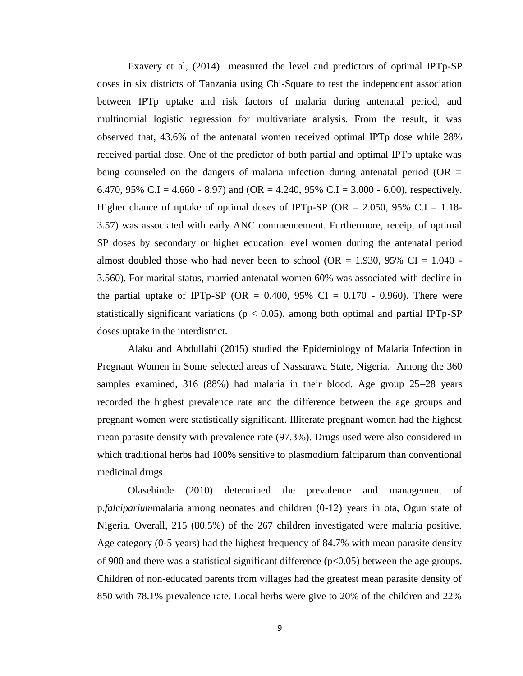Exavery et al, (2014) measured the level and predictors of optimal IPTp-SP doses in six districts of Tanzania using Chi-Square to test the independent association between IPTp uptake and risk factors of malaria during antenatal period, and multinomial logistic regression for multivariate analysis. From the result, it was observed that, 43.6% of the antenatal women received optimal IPTp dose while 28% received partial dose. One of the predictor of both partial and optimal IPTp uptake was being counseled on the dangers of malaria infection during antenatal period (OR  $=$ 6.470, 95% C.I = 4.660 - 8.97) and (OR = 4.240, 95% C.I = 3.000 - 6.00), respectively. Higher chance of uptake of optimal doses of IPTp-SP (OR = 2.050, 95% C.I = 1.18-3.57) was associated with early ANC commencement. Furthermore, receipt of optimal SP doses by secondary or higher education level women during the antenatal period almost doubled those who had never been to school (OR = 1.930, 95% CI =  $1.040$  -3.560). For marital status, married antenatal women 60% was associated with decline in the partial uptake of IPTp-SP (OR =  $0.400$ , 95% CI =  $0.170 - 0.960$ ). There were statistically significant variations ( $p < 0.05$ ). among both optimal and partial IPTp-SP doses uptake in the interdistrict.

Alaku and Abdullahi (2015) studied the Epidemiology of Malaria Infection in Pregnant Women in Some selected areas of Nassarawa State, Nigeria. Among the 360 samples examined, 316 (88%) had malaria in their blood. Age group 25–28 years recorded the highest prevalence rate and the difference between the age groups and pregnant women were statistically significant. Illiterate pregnant women had the highest mean parasite density with prevalence rate (97.3%). Drugs used were also considered in which traditional herbs had 100% sensitive to plasmodium falciparum than conventional medicinal drugs.

Olasehinde (2010) determined the prevalence and management of p.*falciparium*malaria among neonates and children (0-12) years in ota, Ogun state of Nigeria. Overall, 215 (80.5%) of the 267 children investigated were malaria positive. Age category (0-5 years) had the highest frequency of 84.7% with mean parasite density of 900 and there was a statistical significant difference  $(p<0.05)$  between the age groups. Children of non-educated parents from villages had the greatest mean parasite density of 850 with 78.1% prevalence rate. Local herbs were give to 20% of the children and 22%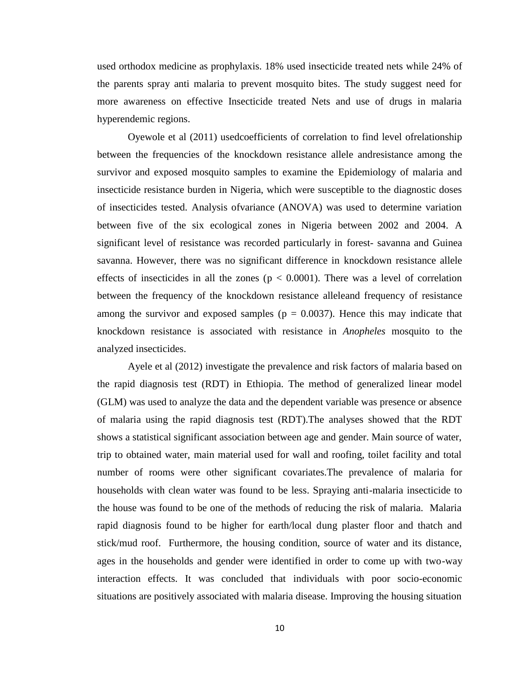used orthodox medicine as prophylaxis. 18% used insecticide treated nets while 24% of the parents spray anti malaria to prevent mosquito bites. The study suggest need for more awareness on effective Insecticide treated Nets and use of drugs in malaria hyperendemic regions.

Oyewole et al (2011) usedcoefficients of correlation to find level ofrelationship between the frequencies of the knockdown resistance allele andresistance among the survivor and exposed mosquito samples to examine the Epidemiology of malaria and insecticide resistance burden in Nigeria, which were susceptible to the diagnostic doses of insecticides tested. Analysis ofvariance (ANOVA) was used to determine variation between five of the six ecological zones in Nigeria between 2002 and 2004. A significant level of resistance was recorded particularly in forest- savanna and Guinea savanna. However, there was no significant difference in knockdown resistance allele effects of insecticides in all the zones ( $p < 0.0001$ ). There was a level of correlation between the frequency of the knockdown resistance alleleand frequency of resistance among the survivor and exposed samples ( $p = 0.0037$ ). Hence this may indicate that knockdown resistance is associated with resistance in *Anopheles* mosquito to the analyzed insecticides.

Ayele et al (2012) investigate the prevalence and risk factors of malaria based on the rapid diagnosis test (RDT) in Ethiopia. The method of generalized linear model (GLM) was used to analyze the data and the dependent variable was presence or absence of malaria using the rapid diagnosis test (RDT).The analyses showed that the RDT shows a statistical significant association between age and gender. Main source of water, trip to obtained water, main material used for wall and roofing, toilet facility and total number of rooms were other significant covariates.The prevalence of malaria for households with clean water was found to be less. Spraying anti-malaria insecticide to the house was found to be one of the methods of reducing the risk of malaria. Malaria rapid diagnosis found to be higher for earth/local dung plaster floor and thatch and stick/mud roof. Furthermore, the housing condition, source of water and its distance, ages in the households and gender were identified in order to come up with two-way interaction effects. It was concluded that individuals with poor socio-economic situations are positively associated with malaria disease. Improving the housing situation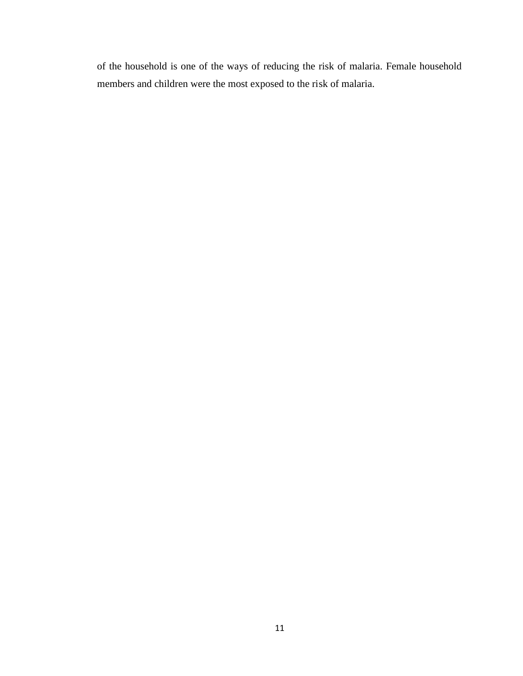of the household is one of the ways of reducing the risk of malaria. Female household members and children were the most exposed to the risk of malaria.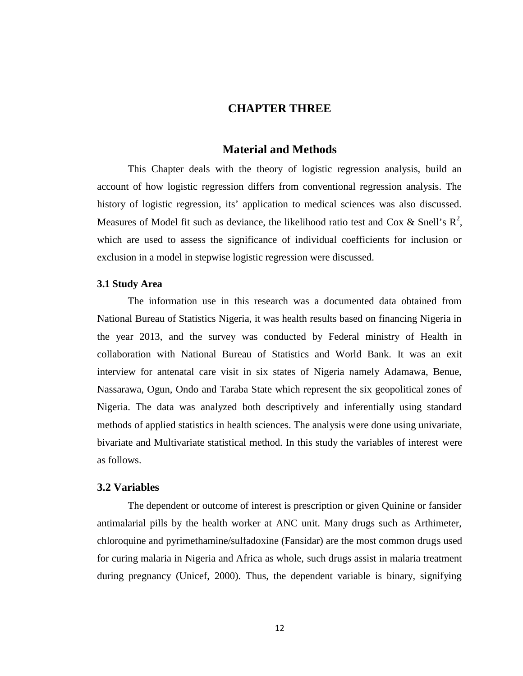### **CHAPTER THREE**

#### **Material and Methods**

This Chapter deals with the theory of logistic regression analysis, build an account of how logistic regression differs from conventional regression analysis. The history of logistic regression, its' application to medical sciences was also discussed. Measures of Model fit such as deviance, the likelihood ratio test and Cox & Snell's  $R^2$ , which are used to assess the significance of individual coefficients for inclusion or exclusion in a model in stepwise logistic regression were discussed.

#### **3.1 Study Area**

The information use in this research was a documented data obtained from National Bureau of Statistics Nigeria, it was health results based on financing Nigeria in the year 2013, and the survey was conducted by Federal ministry of Health in collaboration with National Bureau of Statistics and World Bank. It was an exit interview for antenatal care visit in six states of Nigeria namely Adamawa, Benue, Nassarawa, Ogun, Ondo and Taraba State which represent the six geopolitical zones of Nigeria. The data was analyzed both descriptively and inferentially using standard methods of applied statistics in health sciences. The analysis were done using univariate, bivariate and Multivariate statistical method. In this study the variables of interest were as follows.

#### **3.2 Variables**

The dependent or outcome of interest is prescription or given Quinine or fansider antimalarial pills by the health worker at ANC unit. Many drugs such as Arthimeter, chloroquine and pyrimethamine/sulfadoxine (Fansidar) are the most common drugs used for curing malaria in Nigeria and Africa as whole, such drugs assist in malaria treatment during pregnancy (Unicef, 2000). Thus, the dependent variable is binary, signifying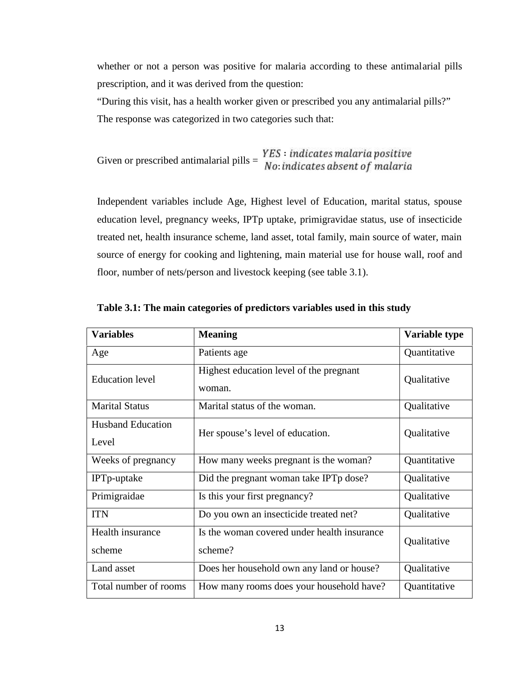whether or not a person was positive for malaria according to these antimalarial pills prescription, and it was derived from the question:

"During this visit, has a health worker given or prescribed you any antimalarial pills?" The response was categorized in two categories such that:

Given or prescribed antimalarial pills =  $\frac{YES \cdot indi}{NQ}$ : ınaı

Independent variables include Age, Highest level of Education, marital status, spouse education level, pregnancy weeks, IPTp uptake, primigravidae status, use of insecticide treated net, health insurance scheme, land asset, total family, main source of water, main source of energy for cooking and lightening, main material use for house wall, roof and floor, number of nets/person and livestock keeping (see table 3.1).

| <b>Variables</b>                  | <b>Meaning</b>                                         | Variable type |
|-----------------------------------|--------------------------------------------------------|---------------|
| Age                               | Patients age                                           | Quantitative  |
| <b>Education</b> level            | Highest education level of the pregnant<br>woman.      | Qualitative   |
| <b>Marital Status</b>             | Marital status of the woman.                           | Qualitative   |
| <b>Husband Education</b><br>Level | Her spouse's level of education.                       | Qualitative   |
| Weeks of pregnancy                | How many weeks pregnant is the woman?                  | Quantitative  |
| IPTp-uptake                       | Did the pregnant woman take IPTp dose?                 | Qualitative   |
| Primigraidae                      | Is this your first pregnancy?                          | Qualitative   |
| <b>ITN</b>                        | Do you own an insecticide treated net?                 | Qualitative   |
| Health insurance<br>scheme        | Is the woman covered under health insurance<br>scheme? | Qualitative   |
| Land asset                        | Does her household own any land or house?              | Qualitative   |
| Total number of rooms             | How many rooms does your household have?               | Quantitative  |

**Table 3.1: The main categories of predictors variables used in this study**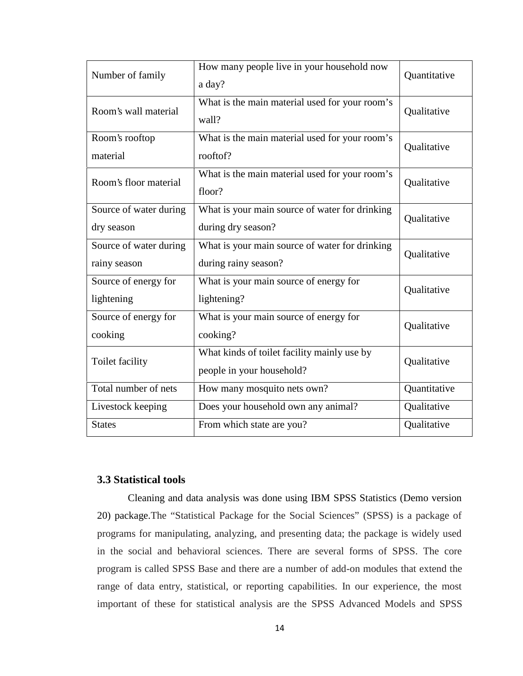| Number of family                       | How many people live in your household now<br>a day?                     | Quantitative |
|----------------------------------------|--------------------------------------------------------------------------|--------------|
| Room's wall material                   | What is the main material used for your room's<br>wall?                  | Qualitative  |
| Room's rooftop<br>material             | What is the main material used for your room's<br>rooftof?               | Qualitative  |
| Room's floor material                  | What is the main material used for your room's<br>floor?                 | Qualitative  |
| Source of water during<br>dry season   | What is your main source of water for drinking<br>during dry season?     | Qualitative  |
| Source of water during<br>rainy season | What is your main source of water for drinking<br>during rainy season?   | Qualitative  |
| Source of energy for<br>lightening     | What is your main source of energy for<br>lightening?                    | Qualitative  |
| Source of energy for<br>cooking        | What is your main source of energy for<br>cooking?                       | Qualitative  |
| Toilet facility                        | What kinds of toilet facility mainly use by<br>people in your household? | Qualitative  |
| Total number of nets                   | How many mosquito nets own?                                              | Quantitative |
| Livestock keeping                      | Does your household own any animal?                                      | Qualitative  |
| <b>States</b>                          | From which state are you?                                                | Qualitative  |

### **3.3 Statistical tools**

Cleaning and data analysis was done using IBM SPSS Statistics (Demo version 20) package.The "Statistical Package for the Social Sciences" (SPSS) is a package of programs for manipulating, analyzing, and presenting data; the package is widely used in the social and behavioral sciences. There are several forms of SPSS. The core program is called SPSS Base and there are a number of add-on modules that extend the range of data entry, statistical, or reporting capabilities. In our experience, the most important of these for statistical analysis are the SPSS Advanced Models and SPSS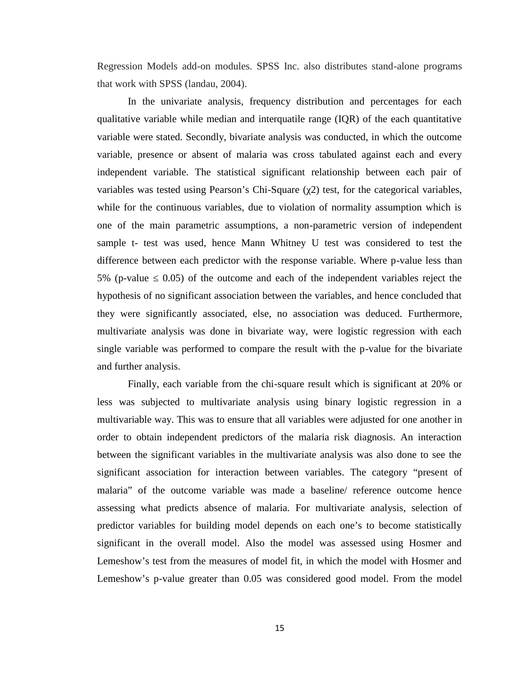Regression Models add-on modules. SPSS Inc. also distributes stand-alone programs that work with SPSS (landau, 2004).

In the univariate analysis, frequency distribution and percentages for each qualitative variable while median and interquatile range (IQR) of the each quantitative variable were stated. Secondly, bivariate analysis was conducted, in which the outcome variable, presence or absent of malaria was cross tabulated against each and every independent variable. The statistical significant relationship between each pair of variables was tested using Pearson's Chi-Square (2) test, for the categorical variables, while for the continuous variables, due to violation of normality assumption which is one of the main parametric assumptions, a non-parametric version of independent sample t- test was used, hence Mann Whitney U test was considered to test the difference between each predictor with the response variable. Where p-value less than 5% (p-value 0.05) of the outcome and each of the independent variables reject the hypothesis of no significant association between the variables, and hence concluded that they were significantly associated, else, no association was deduced. Furthermore, multivariate analysis was done in bivariate way, were logistic regression with each single variable was performed to compare the result with the p-value for the bivariate and further analysis.

Finally, each variable from the chi-square result which is significant at 20% or less was subjected to multivariate analysis using binary logistic regression in a multivariable way. This was to ensure that all variables were adjusted for one another in order to obtain independent predictors of the malaria risk diagnosis. An interaction between the significant variables in the multivariate analysis was also done to see the significant association for interaction between variables. The category "present of malaria" of the outcome variable was made a baseline/ reference outcome hence assessing what predicts absence of malaria. For multivariate analysis, selection of predictor variables for building model depends on each one's to become statistically significant in the overall model. Also the model was assessed using Hosmer and Lemeshow's test from the measures of model fit, in which the model with Hosmer and Lemeshow's p-value greater than 0.05 was considered good model. From the model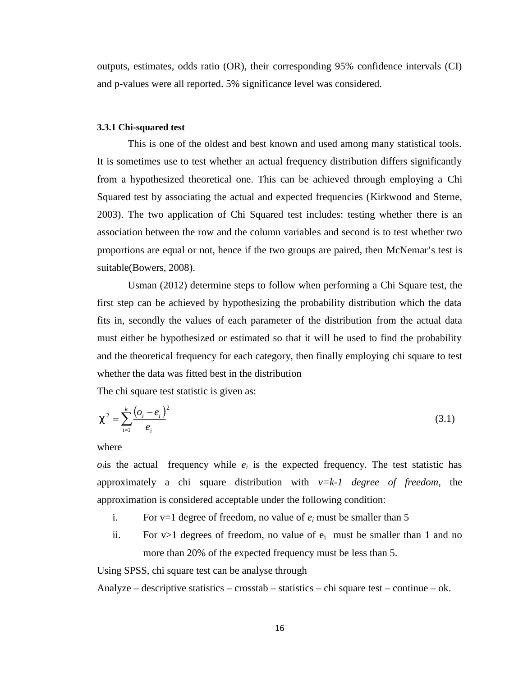outputs, estimates, odds ratio (OR), their corresponding 95% confidence intervals (CI) and p-values were all reported. 5% significance level was considered.

#### **3.3.1 Chi-squared test**

This is one of the oldest and best known and used among many statistical tools. It is sometimes use to test whether an actual frequency distribution differs significantly from a hypothesized theoretical one. This can be achieved through employing a Chi Squared test by associating the actual and expected frequencies (Kirkwood and Sterne, 2003). The two application of Chi Squared test includes: testing whether there is an association between the row and the column variables and second is to test whether two proportions are equal or not, hence if the two groups are paired, then McNemar's test is suitable(Bowers, 2008).

Usman (2012) determine steps to follow when performing a Chi Square test, the first step can be achieved by hypothesizing the probability distribution which the data fits in, secondly the values of each parameter of the distribution from the actual data must either be hypothesized or estimated so that it will be used to find the probability and the theoretical frequency for each category, then finally employing chi square to test whether the data was fitted best in the distribution

The chi square test statistic is given as:

$$
t^{2} = \sum_{i=1}^{k} \frac{(o_{i} - e_{i})^{2}}{e_{i}}
$$
 (3.1)

where

 $o<sub>i</sub>$  is the actual frequency while  $e<sub>i</sub>$  is the expected frequency. The test statistic has approximately a chi square distribution with *v=k-1 degree of freedom*, the approximation is considered acceptable under the following condition:

- i. For  $v=1$  degree of freedom, no value of  $e_i$  must be smaller than 5
- ii. For  $v>1$  degrees of freedom, no value of  $e_i$  must be smaller than 1 and no more than 20% of the expected frequency must be less than 5.

Using SPSS, chi square test can be analyse through

Analyze – descriptive statistics – crosstab – statistics – chi square test – continue – ok.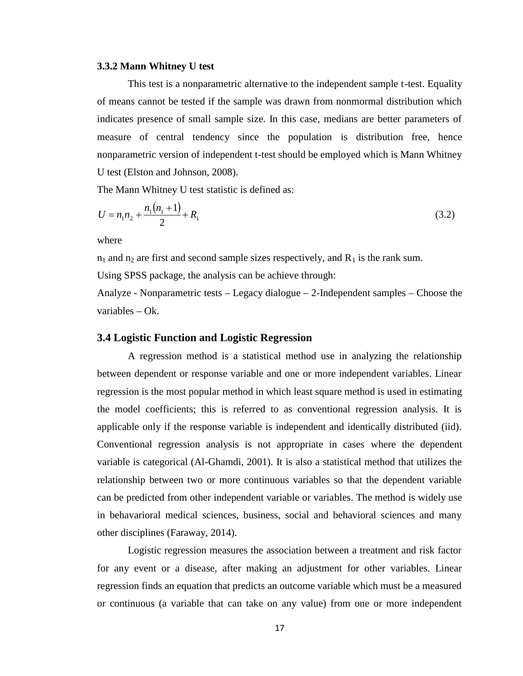#### **3.3.2 Mann Whitney U test**

This test is a nonparametric alternative to the independent sample t-test. Equality of means cannot be tested if the sample was drawn from nonmormal distribution which indicates presence of small sample size. In this case, medians are better parameters of measure of central tendency since the population is distribution free, hence nonparametric version of independent t-test should be employed which is Mann Whitney U test (Elston and Johnson, 2008).

The Mann Whitney U test statistic is defined as:

$$
U = n_1 n_2 + \frac{n_1(n_1 + 1)}{2} + R_1 \tag{3.2}
$$

where

 $n_1$  and  $n_2$  are first and second sample sizes respectively, and  $R_1$  is the rank sum.

Using SPSS package, the analysis can be achieve through:

Analyze - Nonparametric tests – Legacy dialogue – 2-Independent samples – Choose the variables – Ok.

#### **3.4 Logistic Function and Logistic Regression**

A regression method is a statistical method use in analyzing the relationship between dependent or response variable and one or more independent variables. Linear regression is the most popular method in which least square method is used in estimating the model coefficients; this is referred to as conventional regression analysis. It is applicable only if the response variable is independent and identically distributed (iid). Conventional regression analysis is not appropriate in cases where the dependent variable is categorical (Al-Ghamdi, 2001). It is also a statistical method that utilizes the relationship between two or more continuous variables so that the dependent variable can be predicted from other independent variable or variables. The method is widely use in behavarioral medical sciences, business, social and behavioral sciences and many other disciplines (Faraway, 2014).

Logistic regression measures the association between a treatment and risk factor for any event or a disease, after making an adjustment for other variables. Linear regression finds an equation that predicts an outcome variable which must be a measured or continuous (a variable that can take on any value) from one or more independent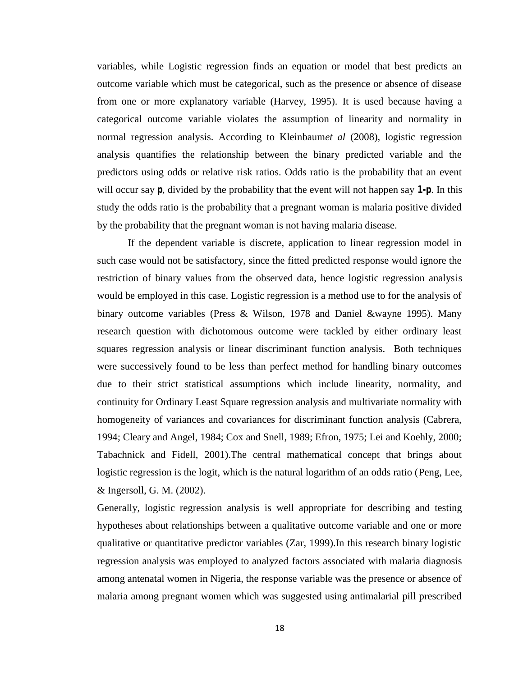variables, while Logistic regression finds an equation or model that best predicts an outcome variable which must be categorical, such as the presence or absence of disease from one or more explanatory variable (Harvey, 1995). It is used because having a categorical outcome variable violates the assumption of linearity and normality in normal regression analysis. According to Kleinbaum*et al* (2008), logistic regression analysis quantifies the relationship between the binary predicted variable and the predictors using odds or relative risk ratios. Odds ratio is the probability that an event will occur say *p*, divided by the probability that the event will not happen say *1-p*. In this study the odds ratio is the probability that a pregnant woman is malaria positive divided by the probability that the pregnant woman is not having malaria disease.

If the dependent variable is discrete, application to linear regression model in such case would not be satisfactory, since the fitted predicted response would ignore the restriction of binary values from the observed data, hence logistic regression analysis would be employed in this case. Logistic regression is a method use to for the analysis of binary outcome variables (Press & Wilson, 1978 and Daniel &wayne 1995). Many research question with dichotomous outcome were tackled by either ordinary least squares regression analysis or linear discriminant function analysis. Both techniques were successively found to be less than perfect method for handling binary outcomes due to their strict statistical assumptions which include linearity, normality, and continuity for Ordinary Least Square regression analysis and multivariate normality with homogeneity of variances and covariances for discriminant function analysis (Cabrera, 1994; Cleary and Angel, 1984; Cox and Snell, 1989; Efron, 1975; Lei and Koehly, 2000; Tabachnick and Fidell, 2001).The central mathematical concept that brings about logistic regression is the logit, which is the natural logarithm of an odds ratio (Peng, Lee, & Ingersoll, G. M. (2002).

Generally, logistic regression analysis is well appropriate for describing and testing hypotheses about relationships between a qualitative outcome variable and one or more qualitative or quantitative predictor variables (Zar, 1999).In this research binary logistic regression analysis was employed to analyzed factors associated with malaria diagnosis among antenatal women in Nigeria, the response variable was the presence or absence of malaria among pregnant women which was suggested using antimalarial pill prescribed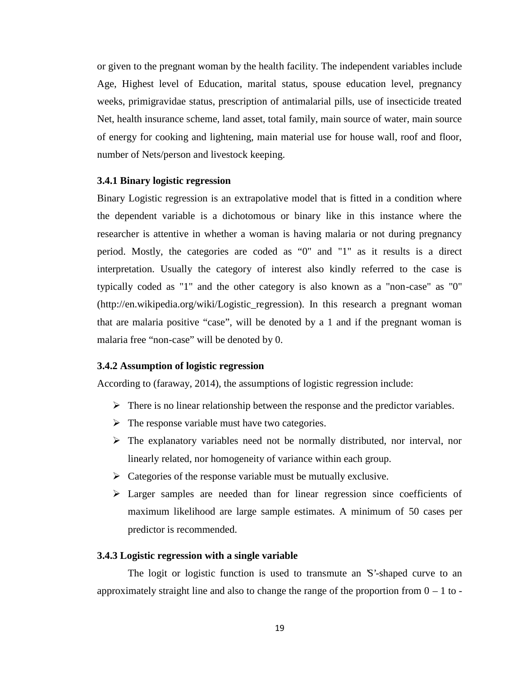or given to the pregnant woman by the health facility. The independent variables include Age, Highest level of Education, marital status, spouse education level, pregnancy weeks, primigravidae status, prescription of antimalarial pills, use of insecticide treated Net, health insurance scheme, land asset, total family, main source of water, main source of energy for cooking and lightening, main material use for house wall, roof and floor, number of Nets/person and livestock keeping.

#### **3.4.1 Binary logistic regression**

Binary Logistic regression is an extrapolative model that is fitted in a condition where the dependent variable is a dichotomous or binary like in this instance where the researcher is attentive in whether a woman is having malaria or not during pregnancy period. Mostly, the categories are coded as "0" and "1" as it results is a direct interpretation. Usually the category of interest also kindly referred to the case is typically coded as "1" and the other category is also known as a "non-case" as "0" (http://en.wikipedia.org/wiki/Logistic\_regression). In this research a pregnant woman that are malaria positive "case", will be denoted by a 1 and if the pregnant woman is malaria free "non-case" will be denoted by 0.

#### **3.4.2 Assumption of logistic regression**

According to (faraway, 2014), the assumptions of logistic regression include:

- $\triangleright$  There is no linear relationship between the response and the predictor variables.
- $\triangleright$  The response variable must have two categories.
- $\triangleright$  The explanatory variables need not be normally distributed, nor interval, nor linearly related, nor homogeneity of variance within each group.
- $\triangleright$  Categories of the response variable must be mutually exclusive.
- $\triangleright$  Larger samples are needed than for linear regression since coefficients of maximum likelihood are large sample estimates. A minimum of 50 cases per predictor is recommended.

#### **3.4.3 Logistic regression with a single variable**

The logit or logistic function is used to transmute an 'S'-shaped curve to an approximately straight line and also to change the range of the proportion from  $0 - 1$  to -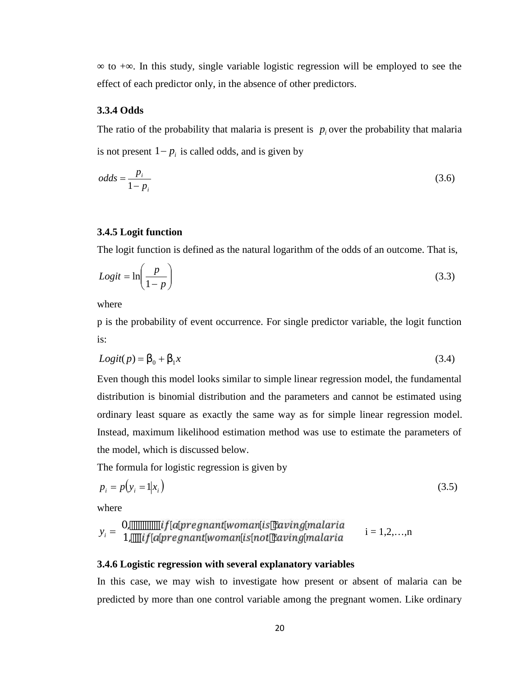$\tau$  to +  $\tau$ . In this study, single variable logistic regression will be employed to see the effect of each predictor only, in the absence of other predictors.

#### **3.3.4 Odds**

The ratio of the probability that malaria is present is  $p_i$  over the probability that malaria is not present  $1 - p_i$  is called odds, and is given by

$$
odds = \frac{p_i}{1 - p_i} \tag{3.6}
$$

#### **3.4.5 Logit function**

The logit function is defined as the natural logarithm of the odds of an outcome. That is,

$$
Logit = \ln\left(\frac{p}{1-p}\right) \tag{3.3}
$$

where

p is the probability of event occurrence. For single predictor variable, the logit function is:

$$
Logit(p) = S_0 + S_1 x \tag{3.4}
$$

Even though this model looks similar to simple linear regression model, the fundamental distribution is binomial distribution and the parameters and cannot be estimated using ordinary least square as exactly the same way as for simple linear regression model. Instead, maximum likelihood estimation method was use to estimate the parameters of the model, which is discussed below.

The formula for logistic regression is given by

$$
p_i = p(y_i = 1 | x_i) \tag{3.5}
$$

where

$$
y_i =\n \begin{cases}\n 0, & \text{if a program to to } i \text{ is having malaria} \\
1, & \text{if a program to to to to the original area}\n \end{cases}
$$
\n $y_i =\n \begin{cases}\n 1, & \text{if a program to to the original area} \\
1, & \text{if a program to to the original area}\n \end{cases}$ 

#### **3.4.6 Logistic regression with several explanatory variables**

In this case, we may wish to investigate how present or absent of malaria can be predicted by more than one control variable among the pregnant women. Like ordinary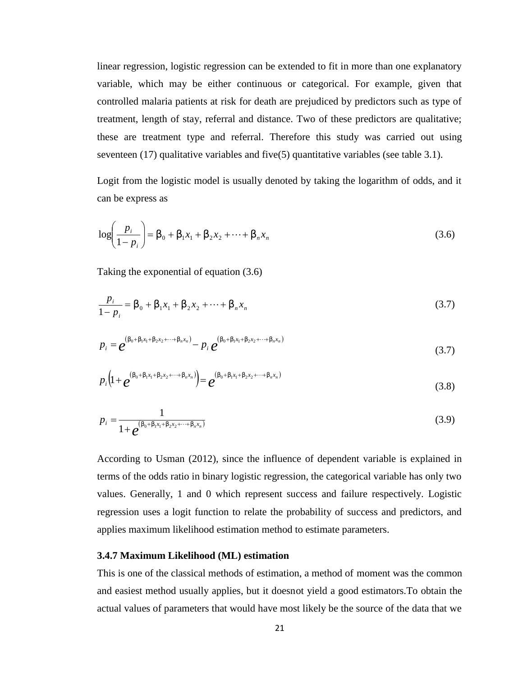linear regression, logistic regression can be extended to fit in more than one explanatory variable, which may be either continuous or categorical. For example, given that controlled malaria patients at risk for death are prejudiced by predictors such as type of treatment, length of stay, referral and distance. Two of these predictors are qualitative; these are treatment type and referral. Therefore this study was carried out using seventeen (17) qualitative variables and five(5) quantitative variables (see table 3.1).

Logit from the logistic model is usually denoted by taking the logarithm of odds, and it can be express as

$$
\log\left(\frac{p_i}{1-p_i}\right) = S_0 + S_1 x_1 + S_2 x_2 + \dots + S_n x_n \tag{3.6}
$$

Taking the exponential of equation (3.6)

$$
\frac{p_i}{1 - p_i} = S_0 + S_1 x_1 + S_2 x_2 + \dots + S_n x_n
$$
\n(3.7)

$$
p_i = e^{(s_0 + s_1 x_1 + s_2 x_2 + \dots + s_n x_n)} - p_i e^{(s_0 + s_1 x_1 + s_2 x_2 + \dots + s_n x_n)}
$$
(3.7)

$$
p_i\left(1+e^{(s_0+s_1x_1+s_2x_2+\cdots+s_nx_n)}\right)=e^{(s_0+s_1x_1+s_2x_2+\cdots+s_nx_n)}
$$
\n(3.8)

$$
p_i = \frac{1}{1 + e^{(s_0 + s_1 x_1 + s_2 x_2 + \dots + s_n x_n)}}
$$
(3.9)

According to Usman (2012), since the influence of dependent variable is explained in terms of the odds ratio in binary logistic regression, the categorical variable has only two values. Generally, 1 and 0 which represent success and failure respectively. Logistic regression uses a logit function to relate the probability of success and predictors, and applies maximum likelihood estimation method to estimate parameters.

#### **3.4.7 Maximum Likelihood (ML) estimation**

This is one of the classical methods of estimation, a method of moment was the common and easiest method usually applies, but it doesnot yield a good estimators.To obtain the actual values of parameters that would have most likely be the source of the data that we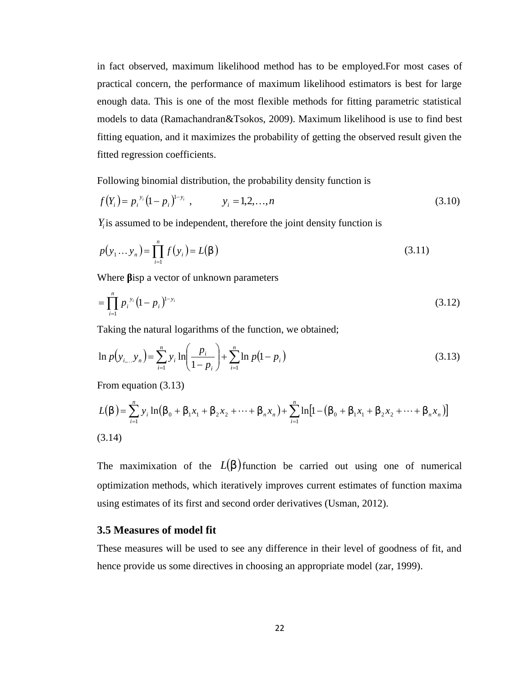in fact observed, maximum likelihood method has to be employed.For most cases of practical concern, the performance of maximum likelihood estimators is best for large enough data. This is one of the most flexible methods for fitting parametric statistical models to data (Ramachandran&Tsokos, 2009). Maximum likelihood is use to find best fitting equation, and it maximizes the probability of getting the observed result given the fitted regression coefficients.

Following binomial distribution, the probability density function is

$$
f(Y_i) = p_i^{y_i} (1 - p_i)^{1 - y_i}, \qquad y_i = 1, 2, ..., n
$$
\n(3.10)

 $Y_i$  is assumed to be independent, therefore the joint density function is

$$
p(y_1... y_n) = \prod_{i=1}^n f(y_i) = L(s)
$$
\n(3.11)

Where isp a vector of unknown parameters

$$
=\prod_{i=1}^{n} p_i^{y_i} (1-p_i)^{1-y_i} \tag{3.12}
$$

Taking the natural logarithms of the function, we obtained;

$$
\ln p(y_{i...}y_n) = \sum_{i=1}^n y_i \ln \left( \frac{p_i}{1-p_i} \right) + \sum_{i=1}^n \ln p(1-p_i)
$$
 (3.13)

From equation (3.13)

$$
L(s) = \sum_{i=1}^{n} y_i \ln(s_0 + s_1 x_1 + s_2 x_2 + \dots + s_n x_n) + \sum_{i=1}^{n} \ln[1 - (s_0 + s_1 x_1 + s_2 x_2 + \dots + s_n x_n)]
$$
\n(3.14)

The maximixation of the  $L(s)$  function be carried out using one of numerical optimization methods, which iteratively improves current estimates of function maxima using estimates of its first and second order derivatives (Usman, 2012).

#### **3.5 Measures of model fit**

These measures will be used to see any difference in their level of goodness of fit, and hence provide us some directives in choosing an appropriate model (zar, 1999).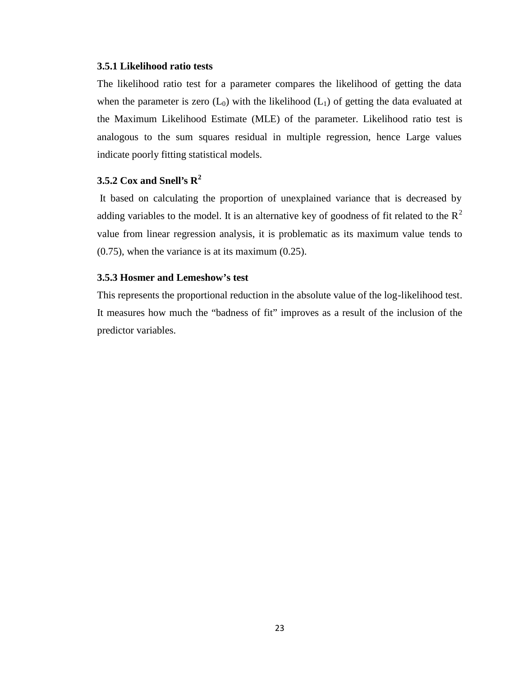#### **3.5.1 Likelihood ratio tests**

The likelihood ratio test for a parameter compares the likelihood of getting the data when the parameter is zero  $(L_0)$  with the likelihood  $(L_1)$  of getting the data evaluated at the Maximum Likelihood Estimate (MLE) of the parameter. Likelihood ratio test is analogous to the sum squares residual in multiple regression, hence Large values indicate poorly fitting statistical models.

### **3.5.2 Cox and Snell's R<sup>2</sup>**

It based on calculating the proportion of unexplained variance that is decreased by adding variables to the model. It is an alternative key of goodness of fit related to the  $\mathbb{R}^2$ value from linear regression analysis, it is problematic as its maximum value tends to (0.75), when the variance is at its maximum (0.25).

#### **3.5.3 Hosmer and Lemeshow's test**

This represents the proportional reduction in the absolute value of the log-likelihood test. It measures how much the "badness of fit" improves as a result of the inclusion of the predictor variables.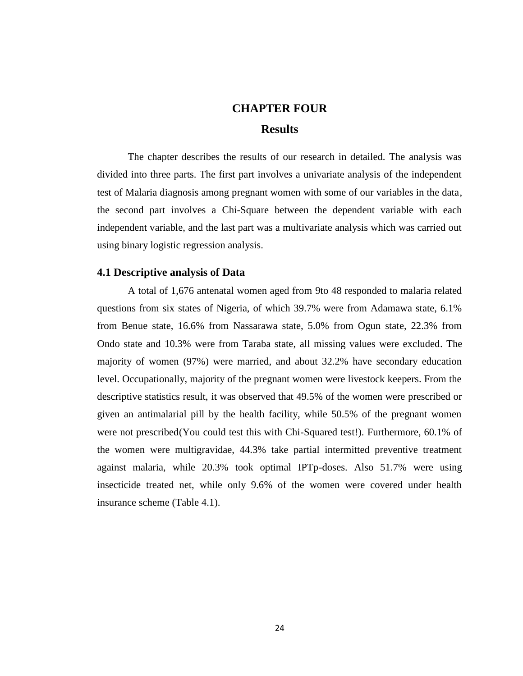## **CHAPTER FOUR Results**

The chapter describes the results of our research in detailed. The analysis was divided into three parts. The first part involves a univariate analysis of the independent test of Malaria diagnosis among pregnant women with some of our variables in the data, the second part involves a Chi-Square between the dependent variable with each independent variable, and the last part was a multivariate analysis which was carried out using binary logistic regression analysis.

#### **4.1 Descriptive analysis of Data**

A total of 1,676 antenatal women aged from 9to 48 responded to malaria related questions from six states of Nigeria, of which 39.7% were from Adamawa state, 6.1% from Benue state, 16.6% from Nassarawa state, 5.0% from Ogun state, 22.3% from Ondo state and 10.3% were from Taraba state, all missing values were excluded. The majority of women (97%) were married, and about 32.2% have secondary education level. Occupationally, majority of the pregnant women were livestock keepers. From the descriptive statistics result, it was observed that 49.5% of the women were prescribed or given an antimalarial pill by the health facility, while 50.5% of the pregnant women were not prescribed(You could test this with Chi-Squared test!). Furthermore, 60.1% of the women were multigravidae, 44.3% take partial intermitted preventive treatment against malaria, while 20.3% took optimal IPTp-doses. Also 51.7% were using insecticide treated net, while only 9.6% of the women were covered under health insurance scheme (Table 4.1).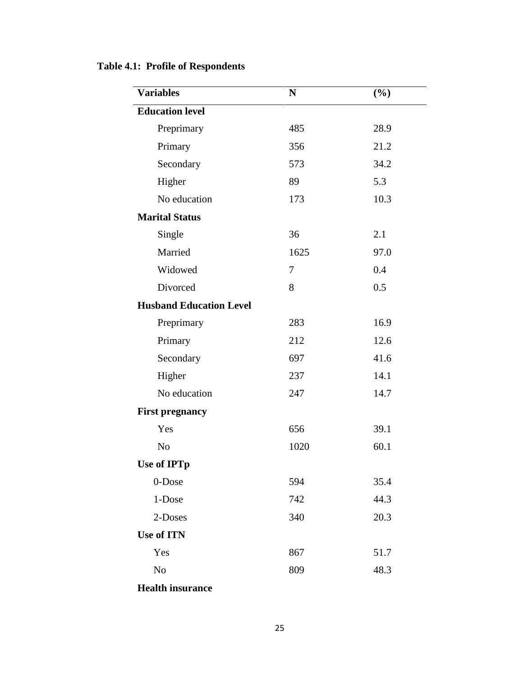| <b>Variables</b>               | $\mathbf N$ | (%)  |
|--------------------------------|-------------|------|
| <b>Education level</b>         |             |      |
| Preprimary                     | 485         | 28.9 |
| Primary                        | 356         | 21.2 |
| Secondary                      | 573         | 34.2 |
| Higher                         | 89          | 5.3  |
| No education                   | 173         | 10.3 |
| <b>Marital Status</b>          |             |      |
| Single                         | 36          | 2.1  |
| Married                        | 1625        | 97.0 |
| Widowed                        | 7           | 0.4  |
| Divorced                       | 8           | 0.5  |
| <b>Husband Education Level</b> |             |      |
| Preprimary                     | 283         | 16.9 |
| Primary                        | 212         | 12.6 |
| Secondary                      | 697         | 41.6 |
| Higher                         | 237         | 14.1 |
| No education                   | 247         | 14.7 |
| <b>First pregnancy</b>         |             |      |
| Yes                            | 656         | 39.1 |
| N <sub>o</sub>                 | 1020        | 60.1 |
| <b>Use of IPTp</b>             |             |      |
| 0-Dose                         | 594         | 35.4 |
| 1-Dose                         | 742         | 44.3 |
| 2-Doses                        | 340         | 20.3 |
| <b>Use of ITN</b>              |             |      |
| Yes                            | 867         | 51.7 |
| N <sub>o</sub>                 | 809         | 48.3 |
| <b>Health insurance</b>        |             |      |

### **Table 4.1: Profile of Respondents**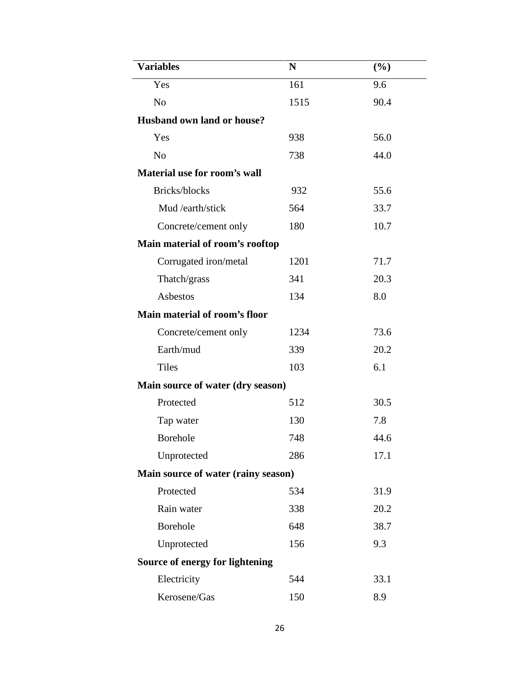| <b>Variables</b>                    | N    | (%)  |
|-------------------------------------|------|------|
| Yes                                 | 161  | 9.6  |
| N <sub>o</sub>                      | 1515 | 90.4 |
| <b>Husband own land or house?</b>   |      |      |
| Yes                                 | 938  | 56.0 |
| N <sub>o</sub>                      | 738  | 44.0 |
| Material use for room's wall        |      |      |
| Bricks/blocks                       | 932  | 55.6 |
| Mud /earth/stick                    | 564  | 33.7 |
| Concrete/cement only                | 180  | 10.7 |
| Main material of room's rooftop     |      |      |
| Corrugated iron/metal               | 1201 | 71.7 |
| Thatch/grass                        | 341  | 20.3 |
| Asbestos                            | 134  | 8.0  |
| Main material of room's floor       |      |      |
| Concrete/cement only                | 1234 | 73.6 |
| Earth/mud                           | 339  | 20.2 |
| <b>Tiles</b>                        | 103  | 6.1  |
| Main source of water (dry season)   |      |      |
| Protected                           | 512  | 30.5 |
| Tap water                           | 130  | 7.8  |
| <b>Borehole</b>                     | 748  | 44.6 |
| Unprotected                         | 286  | 17.1 |
| Main source of water (rainy season) |      |      |
| Protected                           | 534  | 31.9 |
| Rain water                          | 338  | 20.2 |
| <b>Borehole</b>                     | 648  | 38.7 |
| Unprotected                         | 156  | 9.3  |
| Source of energy for lightening     |      |      |
| Electricity                         | 544  | 33.1 |
| Kerosene/Gas                        | 150  | 8.9  |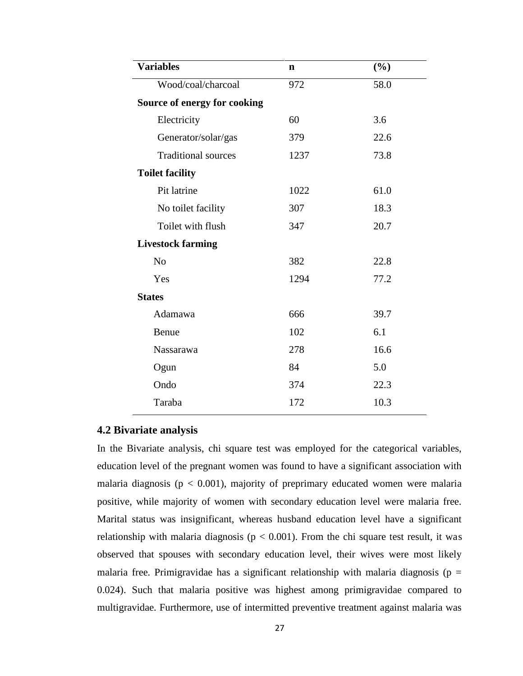| <b>Variables</b>             | $\mathbf n$ | $(\%)$ |
|------------------------------|-------------|--------|
| Wood/coal/charcoal           | 972         | 58.0   |
| Source of energy for cooking |             |        |
| Electricity                  | 60          | 3.6    |
| Generator/solar/gas          | 379         | 22.6   |
| <b>Traditional sources</b>   | 1237        | 73.8   |
| <b>Toilet facility</b>       |             |        |
| Pit latrine                  | 1022        | 61.0   |
| No toilet facility           | 307         | 18.3   |
| Toilet with flush            | 347         | 20.7   |
| <b>Livestock farming</b>     |             |        |
| N <sub>o</sub>               | 382         | 22.8   |
| Yes                          | 1294        | 77.2   |
| <b>States</b>                |             |        |
| Adamawa                      | 666         | 39.7   |
| Benue                        | 102         | 6.1    |
| Nassarawa                    | 278         | 16.6   |
| Ogun                         | 84          | 5.0    |
| Ondo                         | 374         | 22.3   |
| Taraba                       | 172         | 10.3   |
|                              |             |        |

#### **4.2 Bivariate analysis**

In the Bivariate analysis, chi square test was employed for the categorical variables, education level of the pregnant women was found to have a significant association with malaria diagnosis ( $p < 0.001$ ), majority of preprimary educated women were malaria positive, while majority of women with secondary education level were malaria free. Marital status was insignificant, whereas husband education level have a significant relationship with malaria diagnosis ( $p < 0.001$ ). From the chi square test result, it was observed that spouses with secondary education level, their wives were most likely malaria free. Primigravidae has a significant relationship with malaria diagnosis ( $p =$ 0.024). Such that malaria positive was highest among primigravidae compared to multigravidae. Furthermore, use of intermitted preventive treatment against malaria was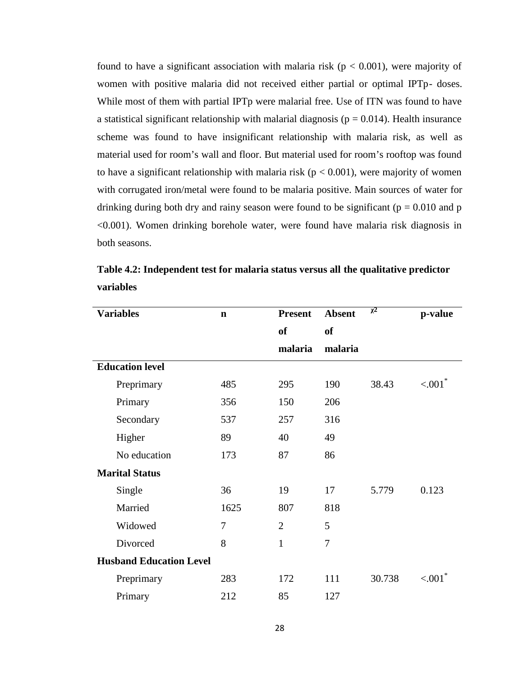found to have a significant association with malaria risk ( $p < 0.001$ ), were majority of women with positive malaria did not received either partial or optimal IPTp- doses. While most of them with partial IPTp were malarial free. Use of ITN was found to have a statistical significant relationship with malarial diagnosis ( $p = 0.014$ ). Health insurance scheme was found to have insignificant relationship with malaria risk, as well as material used for room's wall and floor. But material used for room's rooftop was found to have a significant relationship with malaria risk ( $p < 0.001$ ), were majority of women with corrugated iron/metal were found to be malaria positive. Main sources of water for drinking during both dry and rainy season were found to be significant ( $p = 0.010$  and p <0.001). Women drinking borehole water, were found have malaria risk diagnosis in both seasons.

| <b>Variables</b>               | $\mathbf n$ | <b>Present</b> | <b>Absent</b>  | 2      | p-value              |
|--------------------------------|-------------|----------------|----------------|--------|----------------------|
|                                |             | of             | <b>of</b>      |        |                      |
|                                |             | malaria        | malaria        |        |                      |
| <b>Education level</b>         |             |                |                |        |                      |
| Preprimary                     | 485         | 295            | 190            | 38.43  | $< 001$ <sup>*</sup> |
| Primary                        | 356         | 150            | 206            |        |                      |
| Secondary                      | 537         | 257            | 316            |        |                      |
| Higher                         | 89          | 40             | 49             |        |                      |
| No education                   | 173         | 87             | 86             |        |                      |
| <b>Marital Status</b>          |             |                |                |        |                      |
| Single                         | 36          | 19             | 17             | 5.779  | 0.123                |
| Married                        | 1625        | 807            | 818            |        |                      |
| Widowed                        | 7           | $\overline{2}$ | 5              |        |                      |
| Divorced                       | 8           | $\mathbf{1}$   | $\overline{7}$ |        |                      |
| <b>Husband Education Level</b> |             |                |                |        |                      |
| Preprimary                     | 283         | 172            | 111            | 30.738 | ${<}001^*$           |
| Primary                        | 212         | 85             | 127            |        |                      |

**Table 4.2: Independent test for malaria status versus all the qualitative predictor variables**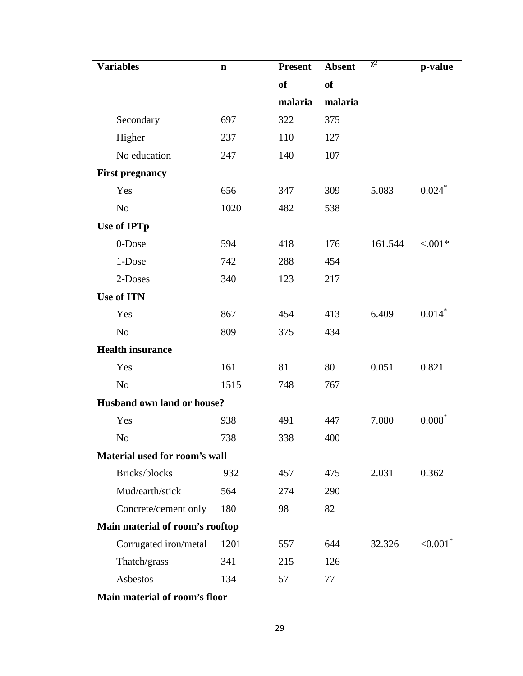| <b>Variables</b>                | $\mathbf n$ | <b>Present</b> | <b>Absent</b> | 2       | p-value                 |
|---------------------------------|-------------|----------------|---------------|---------|-------------------------|
|                                 |             | <b>of</b>      | of            |         |                         |
|                                 |             | malaria        | malaria       |         |                         |
| Secondary                       | 697         | 322            | 375           |         |                         |
| Higher                          | 237         | 110            | 127           |         |                         |
| No education                    | 247         | 140            | 107           |         |                         |
| <b>First pregnancy</b>          |             |                |               |         |                         |
| Yes                             | 656         | 347            | 309           | 5.083   | $0.024$ <sup>*</sup>    |
| No                              | 1020        | 482            | 538           |         |                         |
| <b>Use of IPTp</b>              |             |                |               |         |                         |
| 0-Dose                          | 594         | 418            | 176           | 161.544 | ${<}001*$               |
| 1-Dose                          | 742         | 288            | 454           |         |                         |
| 2-Doses                         | 340         | 123            | 217           |         |                         |
| <b>Use of ITN</b>               |             |                |               |         |                         |
| Yes                             | 867         | 454            | 413           | 6.409   | $0.014*$                |
| N <sub>o</sub>                  | 809         | 375            | 434           |         |                         |
| <b>Health insurance</b>         |             |                |               |         |                         |
| Yes                             | 161         | 81             | 80            | 0.051   | 0.821                   |
| No                              | 1515        | 748            | 767           |         |                         |
| Husband own land or house?      |             |                |               |         |                         |
| Yes                             | 938         | 491            | 447           | 7.080   | $0.008*$                |
| No                              | 738         | 338            | 400           |         |                         |
| Material used for room's wall   |             |                |               |         |                         |
| Bricks/blocks                   | 932         | 457            | 475           | 2.031   | 0.362                   |
| Mud/earth/stick                 | 564         | 274            | 290           |         |                         |
| Concrete/cement only            | 180         | 98             | 82            |         |                         |
| Main material of room's rooftop |             |                |               |         |                         |
| Corrugated iron/metal           | 1201        | 557            | 644           | 32.326  | ${<}0.001$ <sup>*</sup> |
| Thatch/grass                    | 341         | 215            | 126           |         |                         |
| Asbestos                        | 134         | 57             | 77            |         |                         |

**Main material of room's floor**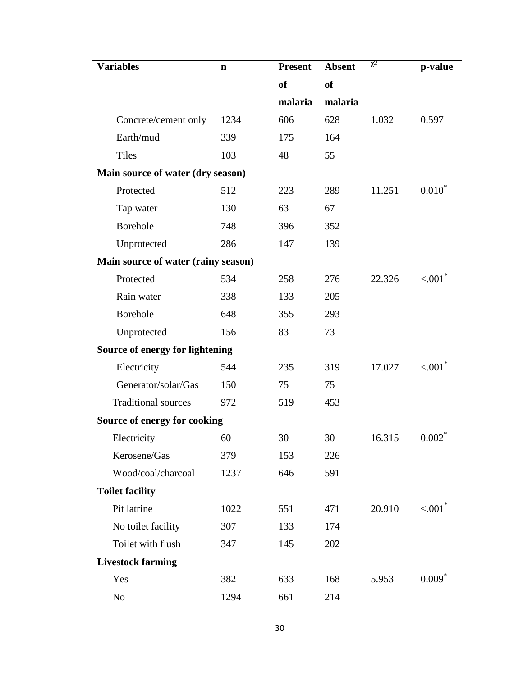| <b>Variables</b>                    | $\mathbf n$ | <b>Present</b> | <b>Absent</b> | 2      | p-value               |
|-------------------------------------|-------------|----------------|---------------|--------|-----------------------|
|                                     |             | <sub>of</sub>  | <b>of</b>     |        |                       |
|                                     |             | malaria        | malaria       |        |                       |
| Concrete/cement only                | 1234        | 606            | 628           | 1.032  | 0.597                 |
| Earth/mud                           | 339         | 175            | 164           |        |                       |
| <b>Tiles</b>                        | 103         | 48             | 55            |        |                       |
| Main source of water (dry season)   |             |                |               |        |                       |
| Protected                           | 512         | 223            | 289           | 11.251 | $0.010*$              |
| Tap water                           | 130         | 63             | 67            |        |                       |
| Borehole                            | 748         | 396            | 352           |        |                       |
| Unprotected                         | 286         | 147            | 139           |        |                       |
| Main source of water (rainy season) |             |                |               |        |                       |
| Protected                           | 534         | 258            | 276           | 22.326 | $< 001$ <sup>*</sup>  |
| Rain water                          | 338         | 133            | 205           |        |                       |
| Borehole                            | 648         | 355            | 293           |        |                       |
| Unprotected                         | 156         | 83             | 73            |        |                       |
| Source of energy for lightening     |             |                |               |        |                       |
| Electricity                         | 544         | 235            | 319           | 17.027 | $< 001$ <sup>*</sup>  |
| Generator/solar/Gas                 | 150         | 75             | 75            |        |                       |
| <b>Traditional sources</b>          | 972         | 519            | 453           |        |                       |
| Source of energy for cooking        |             |                |               |        |                       |
| Electricity                         | 60          | 30             | 30            | 16.315 | $0.002^*$             |
| Kerosene/Gas                        | 379         | 153            | 226           |        |                       |
| Wood/coal/charcoal                  | 1237        | 646            | 591           |        |                       |
| <b>Toilet facility</b>              |             |                |               |        |                       |
| Pit latrine                         | 1022        | 551            | 471           | 20.910 | $< 0.01$ <sup>*</sup> |
| No toilet facility                  | 307         | 133            | 174           |        |                       |
| Toilet with flush                   | 347         | 145            | 202           |        |                       |
| <b>Livestock farming</b>            |             |                |               |        |                       |
| Yes                                 | 382         | 633            | 168           | 5.953  | $0.009*$              |
| N <sub>0</sub>                      | 1294        | 661            | 214           |        |                       |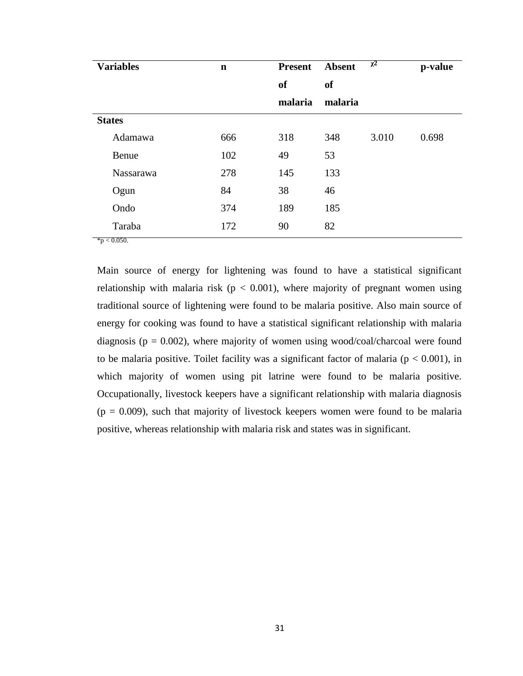| <b>Variables</b> | $\mathbf n$ | <b>Present</b> | <b>Absent</b> | $\overline{2}$ | p-value |  |  |
|------------------|-------------|----------------|---------------|----------------|---------|--|--|
|                  |             | <b>of</b>      | <b>of</b>     |                |         |  |  |
|                  |             | malaria        | malaria       |                |         |  |  |
| <b>States</b>    |             |                |               |                |         |  |  |
| Adamawa          | 666         | 318            | 348           | 3.010          | 0.698   |  |  |
| Benue            | 102         | 49             | 53            |                |         |  |  |
| Nassarawa        | 278         | 145            | 133           |                |         |  |  |
| Ogun             | 84          | 38             | 46            |                |         |  |  |
| Ondo             | 374         | 189            | 185           |                |         |  |  |
| Taraba           | 172         | 90             | 82            |                |         |  |  |

Main source of energy for lightening was found to have a statistical significant relationship with malaria risk ( $p < 0.001$ ), where majority of pregnant women using traditional source of lightening were found to be malaria positive. Also main source of energy for cooking was found to have a statistical significant relationship with malaria diagnosis ( $p = 0.002$ ), where majority of women using wood/coal/charcoal were found to be malaria positive. Toilet facility was a significant factor of malaria ( $p < 0.001$ ), in which majority of women using pit latrine were found to be malaria positive. Occupationally, livestock keepers have a significant relationship with malaria diagnosis  $(p = 0.009)$ , such that majority of livestock keepers women were found to be malaria positive, whereas relationship with malaria risk and states was in significant.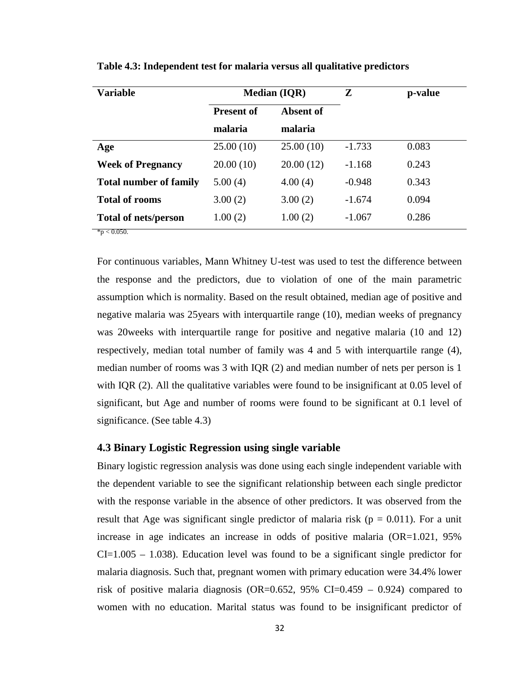| <b>Variable</b>               |                   | <b>Median (IQR)</b> | Z        | p-value |  |
|-------------------------------|-------------------|---------------------|----------|---------|--|
|                               | <b>Present of</b> | <b>Absent of</b>    |          |         |  |
|                               | malaria           | malaria             |          |         |  |
| Age                           | 25.00(10)         | 25.00(10)           | $-1.733$ | 0.083   |  |
| <b>Week of Pregnancy</b>      | 20.00(10)         | 20.00(12)           | $-1.168$ | 0.243   |  |
| <b>Total number of family</b> | 5.00(4)           | 4.00(4)             | $-0.948$ | 0.343   |  |
| <b>Total of rooms</b>         | 3.00(2)           | 3.00(2)             | $-1.674$ | 0.094   |  |
| <b>Total of nets/person</b>   | 1.00(2)           | 1.00(2)             | $-1.067$ | 0.286   |  |
| $*_{p}$ < 0.050.              |                   |                     |          |         |  |

**Table 4.3: Independent test for malaria versus all qualitative predictors**

For continuous variables, Mann Whitney U-test was used to test the difference between the response and the predictors, due to violation of one of the main parametric assumption which is normality. Based on the result obtained, median age of positive and negative malaria was 25years with interquartile range (10), median weeks of pregnancy was 20weeks with interquartile range for positive and negative malaria (10 and 12) respectively, median total number of family was 4 and 5 with interquartile range (4), median number of rooms was 3 with IQR (2) and median number of nets per person is 1 with IQR (2). All the qualitative variables were found to be insignificant at 0.05 level of significant, but Age and number of rooms were found to be significant at 0.1 level of significance. (See table 4.3)

#### **4.3 Binary Logistic Regression using single variable**

Binary logistic regression analysis was done using each single independent variable with the dependent variable to see the significant relationship between each single predictor with the response variable in the absence of other predictors. It was observed from the result that Age was significant single predictor of malaria risk ( $p = 0.011$ ). For a unit increase in age indicates an increase in odds of positive malaria  $(OR=1.021, 95\%)$  $CI=1.005 - 1.038$ ). Education level was found to be a significant single predictor for malaria diagnosis. Such that, pregnant women with primary education were 34.4% lower risk of positive malaria diagnosis (OR=0.652, 95% CI=0.459 – 0.924) compared to women with no education. Marital status was found to be insignificant predictor of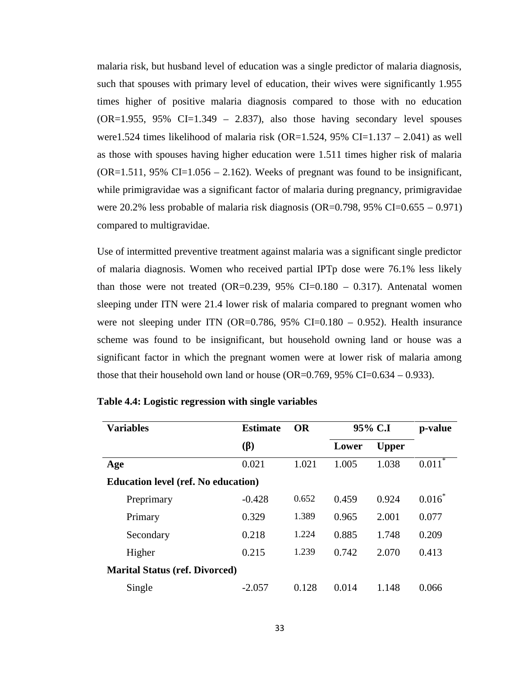malaria risk, but husband level of education was a single predictor of malaria diagnosis, such that spouses with primary level of education, their wives were significantly 1.955 times higher of positive malaria diagnosis compared to those with no education  $(OR=1.955, 95\% \text{ CI}=1.349 - 2.837)$ , also those having secondary level spouses were1.524 times likelihood of malaria risk (OR=1.524, 95% CI=1.137 – 2.041) as well as those with spouses having higher education were 1.511 times higher risk of malaria  $(OR=1.511, 95\% \text{ CI}=1.056 - 2.162)$ . Weeks of pregnant was found to be insignificant, while primigravidae was a significant factor of malaria during pregnancy, primigravidae were 20.2% less probable of malaria risk diagnosis (OR=0.798, 95% CI=0.655 – 0.971) compared to multigravidae.

Use of intermitted preventive treatment against malaria was a significant single predictor of malaria diagnosis. Women who received partial IPTp dose were 76.1% less likely than those were not treated  $(OR=0.239, 95\% \text{ CI}=0.180 - 0.317)$ . Antenatal women sleeping under ITN were 21.4 lower risk of malaria compared to pregnant women who were not sleeping under ITN (OR=0.786,  $95\%$  CI=0.180 – 0.952). Health insurance scheme was found to be insignificant, but household owning land or house was a significant factor in which the pregnant women were at lower risk of malaria among those that their household own land or house (OR=0.769, 95% CI=0.634 – 0.933).

| <b>Variables</b>                           | <b>Estimate</b>    | <b>OR</b> |       | 95% C.I      |           |
|--------------------------------------------|--------------------|-----------|-------|--------------|-----------|
|                                            | $\left( \ \right)$ |           | Lower | <b>Upper</b> |           |
| Age                                        | 0.021              | 1.021     | 1.005 | 1.038        | $0.011*$  |
| <b>Education level (ref. No education)</b> |                    |           |       |              |           |
| Preprimary                                 | $-0.428$           | 0.652     | 0.459 | 0.924        | $0.016^*$ |
| Primary                                    | 0.329              | 1.389     | 0.965 | 2.001        | 0.077     |
| Secondary                                  | 0.218              | 1.224     | 0.885 | 1.748        | 0.209     |
| Higher                                     | 0.215              | 1.239     | 0.742 | 2.070        | 0.413     |
| <b>Marital Status (ref. Divorced)</b>      |                    |           |       |              |           |
| Single                                     | $-2.057$           | 0.128     | 0.014 | 1.148        | 0.066     |

|  |  | Table 4.4: Logistic regression with single variables |  |  |
|--|--|------------------------------------------------------|--|--|
|  |  |                                                      |  |  |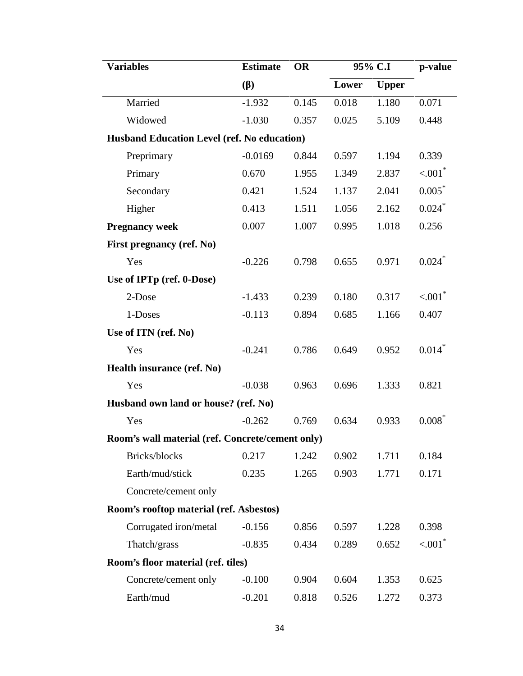| <b>Variables</b>                                   | <b>Estimate</b> | <b>OR</b> | 95% C.I |              | p-value              |  |
|----------------------------------------------------|-----------------|-----------|---------|--------------|----------------------|--|
|                                                    | ( )             |           | Lower   | <b>Upper</b> |                      |  |
| Married                                            | $-1.932$        | 0.145     | 0.018   | 1.180        | 0.071                |  |
| Widowed                                            | $-1.030$        | 0.357     | 0.025   | 5.109        | 0.448                |  |
| <b>Husband Education Level (ref. No education)</b> |                 |           |         |              |                      |  |
| Preprimary                                         | $-0.0169$       | 0.844     | 0.597   | 1.194        | 0.339                |  |
| Primary                                            | 0.670           | 1.955     | 1.349   | 2.837        | $< 001$ <sup>*</sup> |  |
| Secondary                                          | 0.421           | 1.524     | 1.137   | 2.041        | $0.005*$             |  |
| Higher                                             | 0.413           | 1.511     | 1.056   | 2.162        | $0.024$ <sup>*</sup> |  |
| <b>Pregnancy week</b>                              | 0.007           | 1.007     | 0.995   | 1.018        | 0.256                |  |
| First pregnancy (ref. No)                          |                 |           |         |              |                      |  |
| Yes                                                | $-0.226$        | 0.798     | 0.655   | 0.971        | $0.024$ <sup>*</sup> |  |
| Use of IPTp (ref. 0-Dose)                          |                 |           |         |              |                      |  |
| 2-Dose                                             | $-1.433$        | 0.239     | 0.180   | 0.317        | $< 001$ <sup>*</sup> |  |
| 1-Doses                                            | $-0.113$        | 0.894     | 0.685   | 1.166        | 0.407                |  |
| Use of ITN (ref. No)                               |                 |           |         |              |                      |  |
| Yes                                                | $-0.241$        | 0.786     | 0.649   | 0.952        | $0.014*$             |  |
| Health insurance (ref. No)                         |                 |           |         |              |                      |  |
| Yes                                                | $-0.038$        | 0.963     | 0.696   | 1.333        | 0.821                |  |
| Husband own land or house? (ref. No)               |                 |           |         |              |                      |  |
| Yes                                                | $-0.262$        | 0.769     | 0.634   | 0.933        | $0.008*$             |  |
| Room's wall material (ref. Concrete/cement only)   |                 |           |         |              |                      |  |
| Bricks/blocks                                      | 0.217           | 1.242     | 0.902   | 1.711        | 0.184                |  |
| Earth/mud/stick                                    | 0.235           | 1.265     | 0.903   | 1.771        | 0.171                |  |
| Concrete/cement only                               |                 |           |         |              |                      |  |
| Room's rooftop material (ref. Asbestos)            |                 |           |         |              |                      |  |
| Corrugated iron/metal                              | $-0.156$        | 0.856     | 0.597   | 1.228        | 0.398                |  |
| Thatch/grass                                       | $-0.835$        | 0.434     | 0.289   | 0.652        | $< 001$ <sup>*</sup> |  |
| Room's floor material (ref. tiles)                 |                 |           |         |              |                      |  |
| Concrete/cement only                               | $-0.100$        | 0.904     | 0.604   | 1.353        | 0.625                |  |
| Earth/mud                                          | $-0.201$        | 0.818     | 0.526   | 1.272        | 0.373                |  |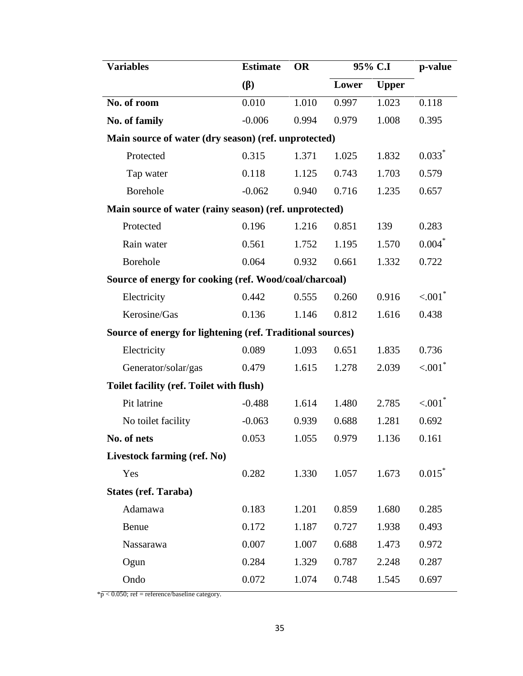| <b>Variables</b>                                           | <b>Estimate</b> | <b>OR</b> | 95% C.I |              | p-value                |  |
|------------------------------------------------------------|-----------------|-----------|---------|--------------|------------------------|--|
|                                                            | ( )             |           | Lower   | <b>Upper</b> |                        |  |
| No. of room                                                | 0.010           | 1.010     | 0.997   | 1.023        | 0.118                  |  |
| No. of family                                              | $-0.006$        | 0.994     | 0.979   | 1.008        | 0.395                  |  |
| Main source of water (dry season) (ref. unprotected)       |                 |           |         |              |                        |  |
| Protected                                                  | 0.315           | 1.371     | 1.025   | 1.832        | $0.033*$               |  |
| Tap water                                                  | 0.118           | 1.125     | 0.743   | 1.703        | 0.579                  |  |
| <b>Borehole</b>                                            | $-0.062$        | 0.940     | 0.716   | 1.235        | 0.657                  |  |
| Main source of water (rainy season) (ref. unprotected)     |                 |           |         |              |                        |  |
| Protected                                                  | 0.196           | 1.216     | 0.851   | 139          | 0.283                  |  |
| Rain water                                                 | 0.561           | 1.752     | 1.195   | 1.570        | $0.004*$               |  |
| Borehole                                                   | 0.064           | 0.932     | 0.661   | 1.332        | 0.722                  |  |
| Source of energy for cooking (ref. Wood/coal/charcoal)     |                 |           |         |              |                        |  |
| Electricity                                                | 0.442           | 0.555     | 0.260   | 0.916        | $< 001$ <sup>*</sup>   |  |
| Kerosine/Gas                                               | 0.136           | 1.146     | 0.812   | 1.616        | 0.438                  |  |
| Source of energy for lightening (ref. Traditional sources) |                 |           |         |              |                        |  |
| Electricity                                                | 0.089           | 1.093     | 0.651   | 1.835        | 0.736                  |  |
| Generator/solar/gas                                        | 0.479           | 1.615     | 1.278   | 2.039        | $< 0.001$ <sup>*</sup> |  |
| Toilet facility (ref. Toilet with flush)                   |                 |           |         |              |                        |  |
| Pit latrine                                                | $-0.488$        | 1.614     | 1.480   | 2.785        | $< 001$ <sup>*</sup>   |  |
| No toilet facility                                         | $-0.063$        | 0.939     | 0.688   | 1.281        | 0.692                  |  |
| No. of nets                                                | 0.053           | 1.055     | 0.979   | 1.136        | 0.161                  |  |
| Livestock farming (ref. No)                                |                 |           |         |              |                        |  |
| Yes                                                        | 0.282           | 1.330     | 1.057   | 1.673        | 0.015                  |  |
| <b>States (ref. Taraba)</b>                                |                 |           |         |              |                        |  |
| Adamawa                                                    | 0.183           | 1.201     | 0.859   | 1.680        | 0.285                  |  |
| Benue                                                      | 0.172           | 1.187     | 0.727   | 1.938        | 0.493                  |  |
| Nassarawa                                                  | 0.007           | 1.007     | 0.688   | 1.473        | 0.972                  |  |
| Ogun                                                       | 0.284           | 1.329     | 0.787   | 2.248        | 0.287                  |  |
| Ondo                                                       | 0.072           | 1.074     | 0.748   | 1.545        | 0.697                  |  |

 $*\overline{p}$  < 0.050; ref = reference/baseline category.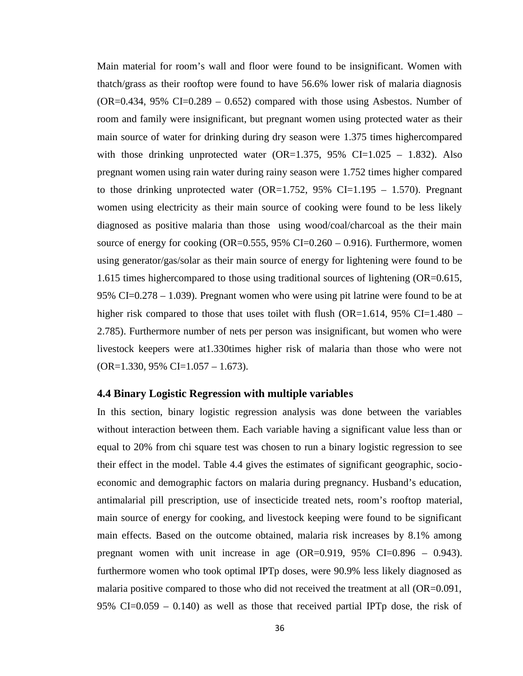Main material for room's wall and floor were found to be insignificant. Women with thatch/grass as their rooftop were found to have 56.6% lower risk of malaria diagnosis  $(OR=0.434, 95\% \text{ CI}=0.289 - 0.652)$  compared with those using Asbestos. Number of room and family were insignificant, but pregnant women using protected water as their main source of water for drinking during dry season were 1.375 times highercompared with those drinking unprotected water  $(OR=1.375, 95\% \text{ CI}=1.025 - 1.832)$ . Also pregnant women using rain water during rainy season were 1.752 times higher compared to those drinking unprotected water (OR=1.752, 95% CI=1.195 – 1.570). Pregnant women using electricity as their main source of cooking were found to be less likely diagnosed as positive malaria than those using wood/coal/charcoal as the their main source of energy for cooking (OR=0.555,  $95\%$  CI=0.260 – 0.916). Furthermore, women using generator/gas/solar as their main source of energy for lightening were found to be 1.615 times highercompared to those using traditional sources of lightening (OR=0.615, 95% CI=0.278 – 1.039). Pregnant women who were using pit latrine were found to be at higher risk compared to those that uses toilet with flush  $(OR=1.614, 95\% \text{ CI}=1.480 -$ 2.785). Furthermore number of nets per person was insignificant, but women who were livestock keepers were at1.330times higher risk of malaria than those who were not  $(OR=1.330, 95\% \text{ CI}=1.057 - 1.673).$ 

#### **4.4 Binary Logistic Regression with multiple variables**

In this section, binary logistic regression analysis was done between the variables without interaction between them. Each variable having a significant value less than or equal to 20% from chi square test was chosen to run a binary logistic regression to see their effect in the model. Table 4.4 gives the estimates of significant geographic, socio economic and demographic factors on malaria during pregnancy. Husband's education, antimalarial pill prescription, use of insecticide treated nets, room's rooftop material, main source of energy for cooking, and livestock keeping were found to be significant main effects. Based on the outcome obtained, malaria risk increases by 8.1% among pregnant women with unit increase in age  $(OR=0.919, 95\% \text{ CI}=0.896 - 0.943)$ . furthermore women who took optimal IPTp doses, were 90.9% less likely diagnosed as malaria positive compared to those who did not received the treatment at all (OR=0.091, 95% CI= $0.059 - 0.140$  as well as those that received partial IPTp dose, the risk of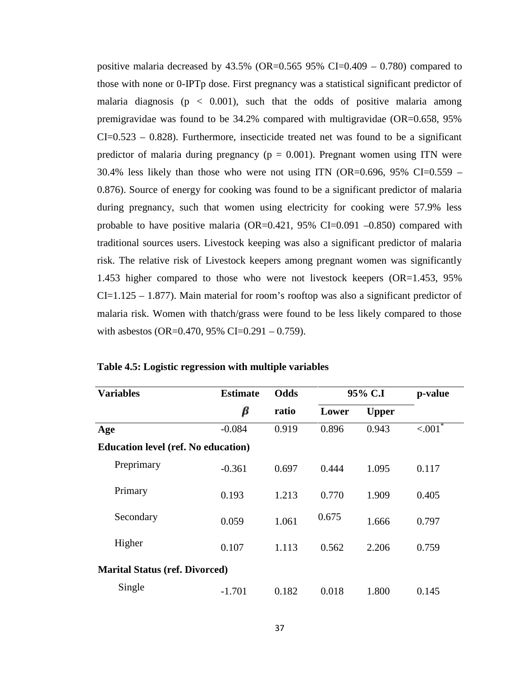positive malaria decreased by  $43.5\%$  (OR=0.565 95% CI=0.409 – 0.780) compared to those with none or 0-IPTp dose. First pregnancy was a statistical significant predictor of malaria diagnosis ( $p < 0.001$ ), such that the odds of positive malaria among premigravidae was found to be 34.2% compared with multigravidae (OR=0.658, 95%  $CI = 0.523 - 0.828$ . Furthermore, insecticide treated net was found to be a significant predictor of malaria during pregnancy ( $p = 0.001$ ). Pregnant women using ITN were 30.4% less likely than those who were not using ITN (OR=0.696, 95% CI=0.559 – 0.876). Source of energy for cooking was found to be a significant predictor of malaria during pregnancy, such that women using electricity for cooking were 57.9% less probable to have positive malaria (OR=0.421, 95% CI=0.091  $-0.850$ ) compared with traditional sources users. Livestock keeping was also a significant predictor of malaria risk. The relative risk of Livestock keepers among pregnant women was significantly 1.453 higher compared to those who were not livestock keepers (OR=1.453, 95%  $CI=1.125 - 1.877$ ). Main material for room's rooftop was also a significant predictor of malaria risk. Women with thatch/grass were found to be less likely compared to those with asbestos (OR=0.470, 95% CI=0.291 – 0.759).

| <b>Variables</b>                           | <b>Estimate</b> | Odds  |       | 95% C.I      | p-value              |
|--------------------------------------------|-----------------|-------|-------|--------------|----------------------|
|                                            | β               | ratio | Lower | <b>Upper</b> |                      |
| Age                                        | $-0.084$        | 0.919 | 0.896 | 0.943        | $\overline{< 001}^*$ |
| <b>Education level (ref. No education)</b> |                 |       |       |              |                      |
| Preprimary                                 | $-0.361$        | 0.697 | 0.444 | 1.095        | 0.117                |
| Primary                                    | 0.193           | 1.213 | 0.770 | 1.909        | 0.405                |
| Secondary                                  | 0.059           | 1.061 | 0.675 | 1.666        | 0.797                |
| Higher                                     | 0.107           | 1.113 | 0.562 | 2.206        | 0.759                |
| <b>Marital Status (ref. Divorced)</b>      |                 |       |       |              |                      |
| Single                                     | $-1.701$        | 0.182 | 0.018 | 1.800        | 0.145                |

**Table 4.5: Logistic regression with multiple variables**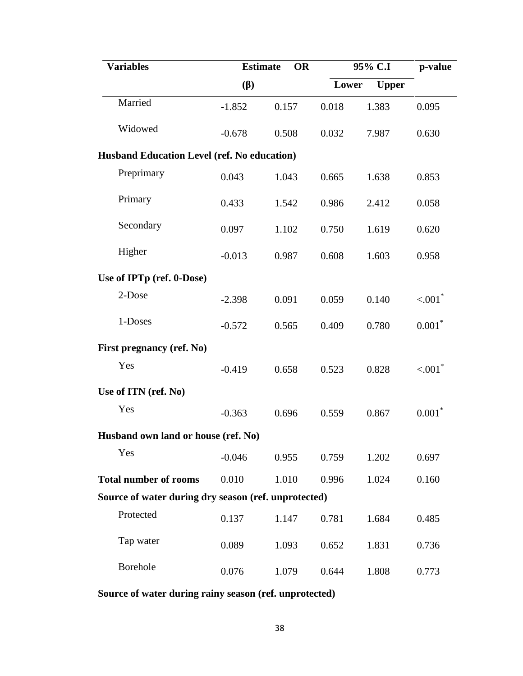| <b>Variables</b>                                     |          | <b>Estimate</b><br><b>OR</b> |       | 95% C.I |                      |  |
|------------------------------------------------------|----------|------------------------------|-------|---------|----------------------|--|
|                                                      | ( )      |                              | Lower |         |                      |  |
| Married                                              | $-1.852$ | 0.157                        | 0.018 | 1.383   | 0.095                |  |
| Widowed                                              | $-0.678$ | 0.508                        | 0.032 | 7.987   | 0.630                |  |
| <b>Husband Education Level (ref. No education)</b>   |          |                              |       |         |                      |  |
| Preprimary                                           | 0.043    | 1.043                        | 0.665 | 1.638   | 0.853                |  |
| Primary                                              | 0.433    | 1.542                        | 0.986 | 2.412   | 0.058                |  |
| Secondary                                            | 0.097    | 1.102                        | 0.750 | 1.619   | 0.620                |  |
| Higher                                               | $-0.013$ | 0.987                        | 0.608 | 1.603   | 0.958                |  |
| Use of IPTp (ref. 0-Dose)                            |          |                              |       |         |                      |  |
| 2-Dose                                               | $-2.398$ | 0.091                        | 0.059 | 0.140   | < 0.01               |  |
| 1-Doses                                              | $-0.572$ | 0.565                        | 0.409 | 0.780   | $0.001*$             |  |
| First pregnancy (ref. No)                            |          |                              |       |         |                      |  |
| Yes                                                  | $-0.419$ | 0.658                        | 0.523 | 0.828   | $< 001$ <sup>*</sup> |  |
| Use of ITN (ref. No)                                 |          |                              |       |         |                      |  |
| Yes                                                  | $-0.363$ | 0.696                        | 0.559 | 0.867   | $0.001*$             |  |
| Husband own land or house (ref. No)                  |          |                              |       |         |                      |  |
| Yes                                                  | $-0.046$ | 0.955                        | 0.759 | 1.202   | 0.697                |  |
| <b>Total number of rooms</b>                         | 0.010    | 1.010                        | 0.996 | 1.024   | 0.160                |  |
| Source of water during dry season (ref. unprotected) |          |                              |       |         |                      |  |
| Protected                                            | 0.137    | 1.147                        | 0.781 | 1.684   | 0.485                |  |
| Tap water                                            | 0.089    | 1.093                        | 0.652 | 1.831   | 0.736                |  |
| Borehole                                             | 0.076    | 1.079                        | 0.644 | 1.808   | 0.773                |  |

**Source of water during rainy season (ref. unprotected)**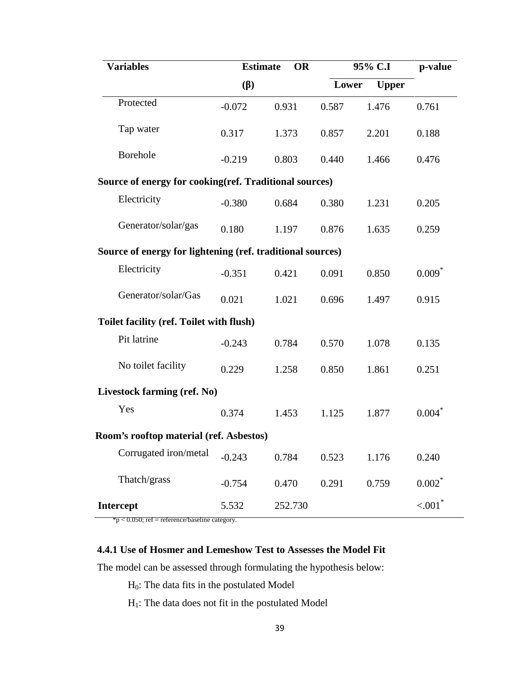| <b>Variables</b>                                           |          | <b>Estimate</b><br><b>OR</b> |       | 95% C.I               | p-value              |
|------------------------------------------------------------|----------|------------------------------|-------|-----------------------|----------------------|
|                                                            | ( )      |                              |       | Lower<br><b>Upper</b> |                      |
| Protected                                                  | $-0.072$ | 0.931                        | 0.587 | 1.476                 | 0.761                |
| Tap water                                                  | 0.317    | 1.373                        | 0.857 | 2.201                 | 0.188                |
| Borehole                                                   | $-0.219$ | 0.803                        | 0.440 | 1.466                 | 0.476                |
| Source of energy for cooking (ref. Traditional sources)    |          |                              |       |                       |                      |
| Electricity                                                | $-0.380$ | 0.684                        | 0.380 | 1.231                 | 0.205                |
| Generator/solar/gas                                        | 0.180    | 1.197                        | 0.876 | 1.635                 | 0.259                |
| Source of energy for lightening (ref. traditional sources) |          |                              |       |                       |                      |
| Electricity                                                | $-0.351$ | 0.421                        | 0.091 | 0.850                 | $0.009*$             |
| Generator/solar/Gas                                        | 0.021    | 1.021                        | 0.696 | 1.497                 | 0.915                |
| Toilet facility (ref. Toilet with flush)                   |          |                              |       |                       |                      |
| Pit latrine                                                | $-0.243$ | 0.784                        | 0.570 | 1.078                 | 0.135                |
| No toilet facility                                         | 0.229    | 1.258                        | 0.850 | 1.861                 | 0.251                |
| Livestock farming (ref. No)                                |          |                              |       |                       |                      |
| Yes                                                        | 0.374    | 1.453                        | 1.125 | 1.877                 | $0.004*$             |
| Room's rooftop material (ref. Asbestos)                    |          |                              |       |                       |                      |
| Corrugated iron/metal                                      | $-0.243$ | 0.784                        | 0.523 | 1.176                 | 0.240                |
| Thatch/grass                                               | $-0.754$ | 0.470                        | 0.291 | 0.759                 | $0.002*$             |
| Intercept                                                  | 5.532    | 252.730                      |       |                       | $< 001$ <sup>*</sup> |

\*p < 0.050; ref = reference/baseline category.

### **4.4.1 Use of Hosmer and Lemeshow Test to Assesses the Model Fit**

The model can be assessed through formulating the hypothesis below:

H0: The data fits in the postulated Model

H1: The data does not fit in the postulated Model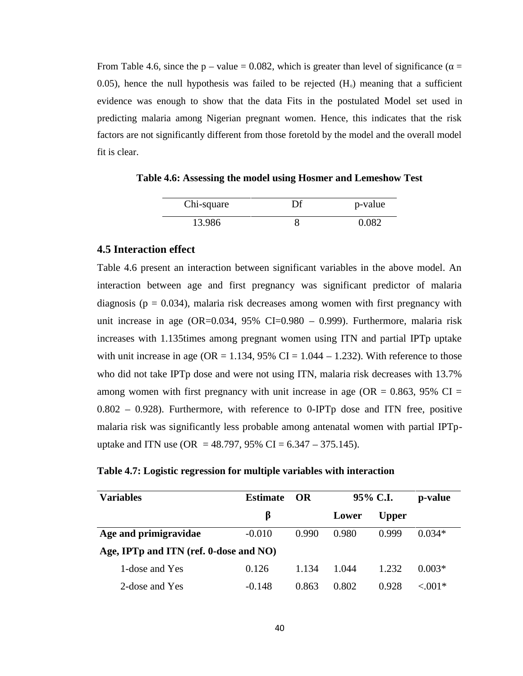From Table 4.6, since the p – value = 0.082, which is greater than level of significance ( $=$ 0.05), hence the null hypothesis was failed to be rejected  $(H<sub>0</sub>)$  meaning that a sufficient evidence was enough to show that the data Fits in the postulated Model set used in predicting malaria among Nigerian pregnant women. Hence, this indicates that the risk factors are not significantly different from those foretold by the model and the overall model fit is clear.

**Table 4.6: Assessing the model using Hosmer and Lemeshow Test**

| Chi-square | Df | p-value |
|------------|----|---------|
| 13.986     |    | N N82   |

#### **4.5 Interaction effect**

Table 4.6 present an interaction between significant variables in the above model. An interaction between age and first pregnancy was significant predictor of malaria diagnosis ( $p = 0.034$ ), malaria risk decreases among women with first pregnancy with unit increase in age (OR=0.034,  $95\%$  CI=0.980 – 0.999). Furthermore, malaria risk increases with 1.135times among pregnant women using ITN and partial IPTp uptake with unit increase in age ( $OR = 1.134$ , 95% CI = 1.044 – 1.232). With reference to those who did not take IPTp dose and were not using ITN, malaria risk decreases with 13.7% among women with first pregnancy with unit increase in age (OR =  $0.863$ , 95% CI =  $0.802 - 0.928$ ). Furthermore, with reference to 0-IPTp dose and ITN free, positive malaria risk was significantly less probable among antenatal women with partial IPTp uptake and ITN use (OR = 48.797, 95% CI = 6.347 – 375.145).

|  |  | Table 4.7: Logistic regression for multiple variables with interaction |  |
|--|--|------------------------------------------------------------------------|--|
|  |  |                                                                        |  |

| <b>Variables</b>                       | <b>Estimate</b><br>- OR |       | 95% C.I. | p-value      |            |
|----------------------------------------|-------------------------|-------|----------|--------------|------------|
|                                        |                         |       | Lower    | <b>Upper</b> |            |
| Age and primigravidae                  | $-0.010$                | 0.990 | 0.980    | 0.999        | $0.034*$   |
| Age, IPTp and ITN (ref. 0-dose and NO) |                         |       |          |              |            |
| 1-dose and Yes                         | 0.126                   | 1.134 | 1.044    | 1.232        | $0.003*$   |
| 2-dose and Yes                         | $-0.148$                | 0.863 | 0.802    | 0.928        | ${<}.001*$ |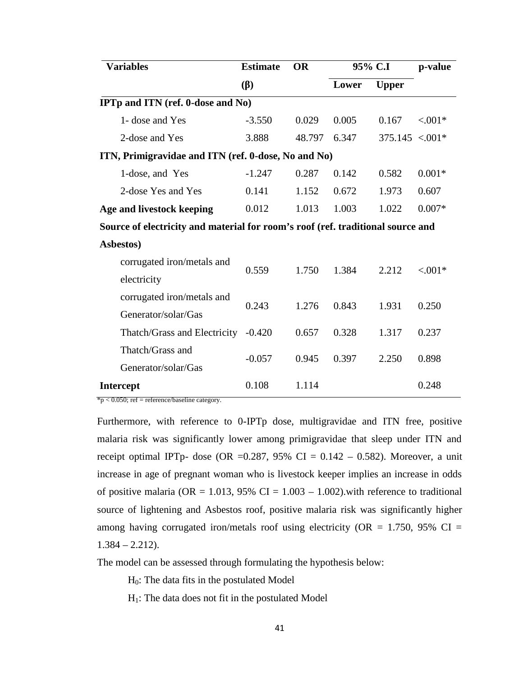| <b>Variables</b>                                                                | <b>Estimate</b><br>( ) | <b>OR</b> | 95% C.I |                   | p-value    |
|---------------------------------------------------------------------------------|------------------------|-----------|---------|-------------------|------------|
|                                                                                 |                        |           | Lower   | <b>Upper</b>      |            |
| <b>IPTp and ITN (ref. 0-dose and No)</b>                                        |                        |           |         |                   |            |
| 1- dose and Yes                                                                 | $-3.550$               | 0.029     | 0.005   | 0.167             | ${<}001*$  |
| 2-dose and Yes                                                                  | 3.888                  | 48.797    | 6.347   | $375.145 < .001*$ |            |
| ITN, Primigravidae and ITN (ref. 0-dose, No and No)                             |                        |           |         |                   |            |
| 1-dose, and Yes                                                                 | $-1.247$               | 0.287     | 0.142   | 0.582             | $0.001*$   |
| 2-dose Yes and Yes                                                              | 0.141                  | 1.152     | 0.672   | 1.973             | 0.607      |
| Age and livestock keeping                                                       | 0.012                  | 1.013     | 1.003   | 1.022             | $0.007*$   |
| Source of electricity and material for room's roof (ref. traditional source and |                        |           |         |                   |            |
| Asbestos)                                                                       |                        |           |         |                   |            |
| corrugated iron/metals and                                                      | 0.559                  | 1.750     | 1.384   | 2.212             | ${<}.001*$ |
| electricity                                                                     |                        |           |         |                   |            |
| corrugated iron/metals and                                                      | 0.243                  | 1.276     | 0.843   | 1.931             | 0.250      |
| Generator/solar/Gas                                                             |                        |           |         |                   |            |
| Thatch/Grass and Electricity                                                    | $-0.420$               | 0.657     | 0.328   | 1.317             | 0.237      |
| Thatch/Grass and                                                                | $-0.057$               | 0.945     | 0.397   | 2.250             | 0.898      |
| Generator/solar/Gas                                                             |                        |           |         |                   |            |
| <b>Intercept</b>                                                                | 0.108                  | 1.114     |         |                   | 0.248      |

 $*p < 0.050$ ; ref = reference/baseline category.

Furthermore, with reference to 0-IPTp dose, multigravidae and ITN free, positive malaria risk was significantly lower among primigravidae that sleep under ITN and receipt optimal IPTp- dose (OR =0.287, 95% CI = 0.142 – 0.582). Moreover, a unit increase in age of pregnant woman who is livestock keeper implies an increase in odds of positive malaria (OR = 1.013, 95% CI = 1.003 – 1.002). with reference to traditional source of lightening and Asbestos roof, positive malaria risk was significantly higher among having corrugated iron/metals roof using electricity ( $OR = 1.750$ , 95% CI =  $1.384 - 2.212$ .

The model can be assessed through formulating the hypothesis below:

 $H_0$ : The data fits in the postulated Model

 $H<sub>1</sub>$ : The data does not fit in the postulated Model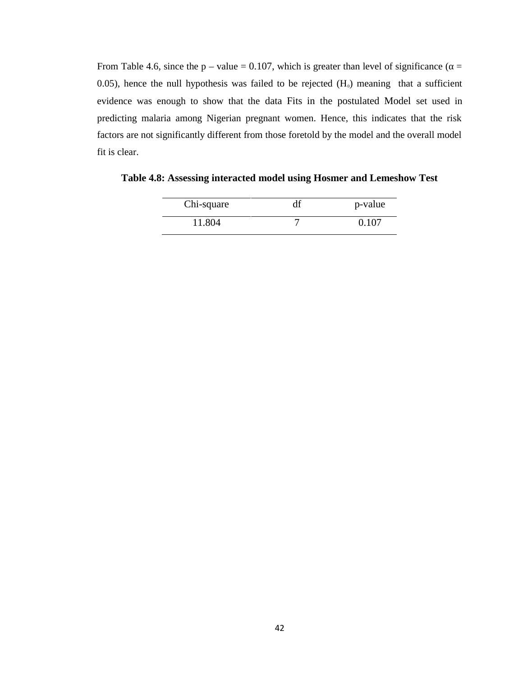From Table 4.6, since the p – value = 0.107, which is greater than level of significance ( $=$ 0.05), hence the null hypothesis was failed to be rejected  $(H<sub>0</sub>)$  meaning that a sufficient evidence was enough to show that the data Fits in the postulated Model set used in predicting malaria among Nigerian pregnant women. Hence, this indicates that the risk factors are not significantly different from those foretold by the model and the overall model fit is clear.

| Chi-square | p-value |
|------------|---------|
| 11.804     | 0.107   |

**Table 4.8: Assessing interacted model using Hosmer and Lemeshow Test**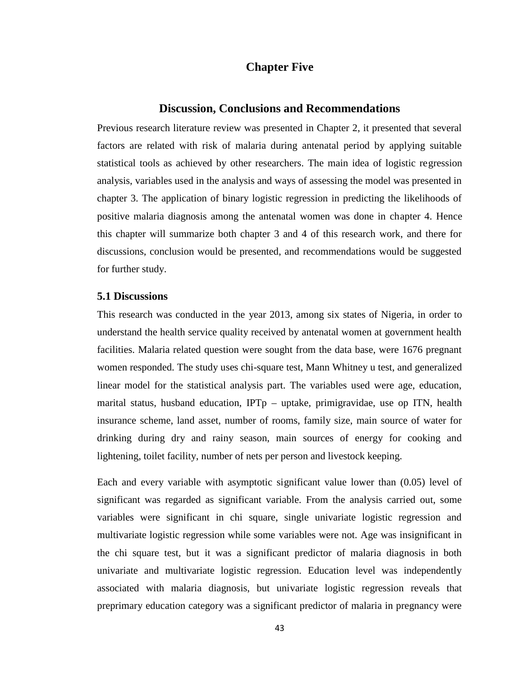### **Chapter Five**

#### **Discussion, Conclusions and Recommendations**

Previous research literature review was presented in Chapter 2, it presented that several factors are related with risk of malaria during antenatal period by applying suitable statistical tools as achieved by other researchers. The main idea of logistic regression analysis, variables used in the analysis and ways of assessing the model was presented in chapter 3. The application of binary logistic regression in predicting the likelihoods of positive malaria diagnosis among the antenatal women was done in chapter 4. Hence this chapter will summarize both chapter 3 and 4 of this research work, and there for discussions, conclusion would be presented, and recommendations would be suggested for further study.

#### **5.1 Discussions**

This research was conducted in the year 2013, among six states of Nigeria, in order to understand the health service quality received by antenatal women at government health facilities. Malaria related question were sought from the data base, were 1676 pregnant women responded. The study uses chi-square test, Mann Whitney u test, and generalized linear model for the statistical analysis part. The variables used were age, education, marital status, husband education, IPTp – uptake, primigravidae, use op ITN, health insurance scheme, land asset, number of rooms, family size, main source of water for drinking during dry and rainy season, main sources of energy for cooking and lightening, toilet facility, number of nets per person and livestock keeping.

Each and every variable with asymptotic significant value lower than (0.05) level of significant was regarded as significant variable. From the analysis carried out, some variables were significant in chi square, single univariate logistic regression and multivariate logistic regression while some variables were not. Age was insignificant in the chi square test, but it was a significant predictor of malaria diagnosis in both univariate and multivariate logistic regression. Education level was independently associated with malaria diagnosis, but univariate logistic regression reveals that preprimary education category was a significant predictor of malaria in pregnancy were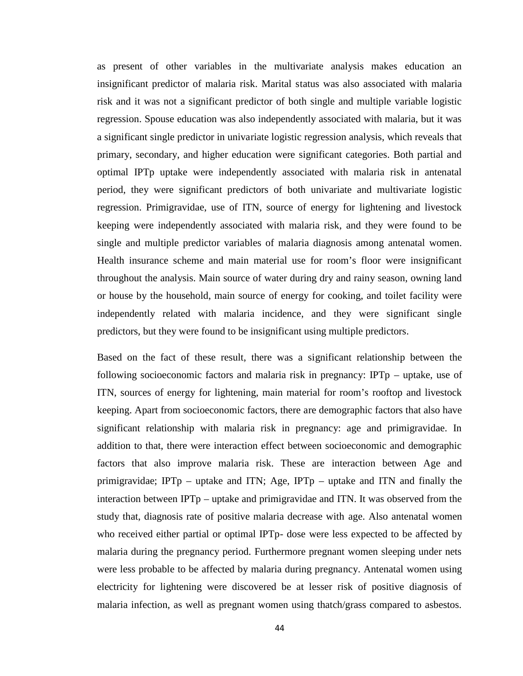as present of other variables in the multivariate analysis makes education an insignificant predictor of malaria risk. Marital status was also associated with malaria risk and it was not a significant predictor of both single and multiple variable logistic regression. Spouse education was also independently associated with malaria, but it was a significant single predictor in univariate logistic regression analysis, which reveals that primary, secondary, and higher education were significant categories. Both partial and optimal IPTp uptake were independently associated with malaria risk in antenatal period, they were significant predictors of both univariate and multivariate logistic regression. Primigravidae, use of ITN, source of energy for lightening and livestock keeping were independently associated with malaria risk, and they were found to be single and multiple predictor variables of malaria diagnosis among antenatal women. Health insurance scheme and main material use for room's floor were insignificant throughout the analysis. Main source of water during dry and rainy season, owning land or house by the household, main source of energy for cooking, and toilet facility were independently related with malaria incidence, and they were significant single predictors, but they were found to be insignificant using multiple predictors.

Based on the fact of these result, there was a significant relationship between the following socioeconomic factors and malaria risk in pregnancy: IPTp – uptake, use of ITN, sources of energy for lightening, main material for room's rooftop and livestock keeping. Apart from socioeconomic factors, there are demographic factors that also have significant relationship with malaria risk in pregnancy: age and primigravidae. In addition to that, there were interaction effect between socioeconomic and demographic factors that also improve malaria risk. These are interaction between Age and primigravidae; IPTp – uptake and ITN; Age, IPTp – uptake and ITN and finally the interaction between IPTp – uptake and primigravidae and ITN. It was observed from the study that, diagnosis rate of positive malaria decrease with age. Also antenatal women who received either partial or optimal IPTp- dose were less expected to be affected by malaria during the pregnancy period. Furthermore pregnant women sleeping under nets were less probable to be affected by malaria during pregnancy. Antenatal women using electricity for lightening were discovered be at lesser risk of positive diagnosis of malaria infection, as well as pregnant women using thatch/grass compared to asbestos.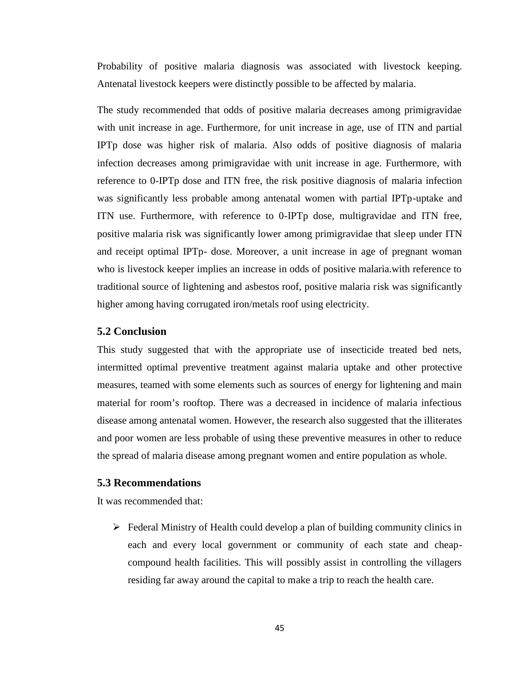Probability of positive malaria diagnosis was associated with livestock keeping. Antenatal livestock keepers were distinctly possible to be affected by malaria.

The study recommended that odds of positive malaria decreases among primigravidae with unit increase in age. Furthermore, for unit increase in age, use of ITN and partial IPTp dose was higher risk of malaria. Also odds of positive diagnosis of malaria infection decreases among primigravidae with unit increase in age. Furthermore, with reference to 0-IPTp dose and ITN free, the risk positive diagnosis of malaria infection was significantly less probable among antenatal women with partial IPTp-uptake and ITN use. Furthermore, with reference to 0-IPTp dose, multigravidae and ITN free, positive malaria risk was significantly lower among primigravidae that sleep under ITN and receipt optimal IPTp- dose. Moreover, a unit increase in age of pregnant woman who is livestock keeper implies an increase in odds of positive malaria.with reference to traditional source of lightening and asbestos roof, positive malaria risk was significantly higher among having corrugated iron/metals roof using electricity.

#### **5.2 Conclusion**

This study suggested that with the appropriate use of insecticide treated bed nets, intermitted optimal preventive treatment against malaria uptake and other protective measures, teamed with some elements such as sources of energy for lightening and main material for room's rooftop. There was a decreased in incidence of malaria infectious disease among antenatal women. However, the research also suggested that the illiterates and poor women are less probable of using these preventive measures in other to reduce the spread of malaria disease among pregnant women and entire population as whole.

#### **5.3 Recommendations**

It was recommended that:

 $\triangleright$  Federal Ministry of Health could develop a plan of building community clinics in each and every local government or community of each state and cheap compound health facilities. This will possibly assist in controlling the villagers residing far away around the capital to make a trip to reach the health care.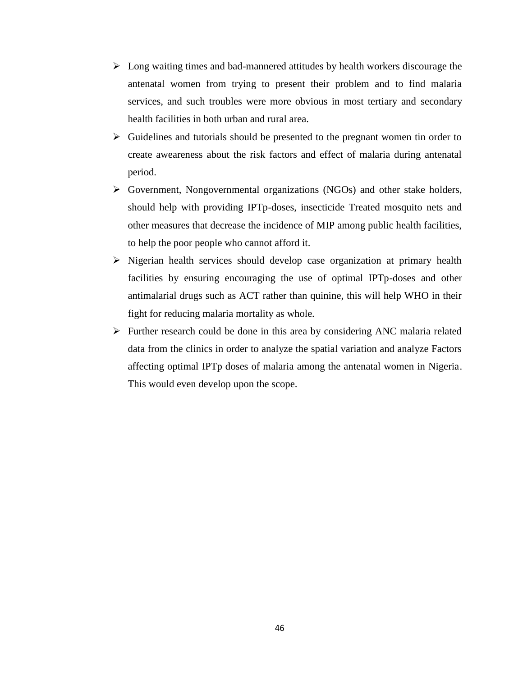- $\triangleright$  Long waiting times and bad-mannered attitudes by health workers discourage the antenatal women from trying to present their problem and to find malaria services, and such troubles were more obvious in most tertiary and secondary health facilities in both urban and rural area.
- $\triangleright$  Guidelines and tutorials should be presented to the pregnant women tin order to create aweareness about the risk factors and effect of malaria during antenatal period.
- $\triangleright$  Government, Nongovernmental organizations (NGOs) and other stake holders, should help with providing IPTp-doses, insecticide Treated mosquito nets and other measures that decrease the incidence of MIP among public health facilities, to help the poor people who cannot afford it.
- $\triangleright$  Nigerian health services should develop case organization at primary health facilities by ensuring encouraging the use of optimal IPTp-doses and other antimalarial drugs such as ACT rather than quinine, this will help WHO in their fight for reducing malaria mortality as whole.
- $\triangleright$  Further research could be done in this area by considering ANC malaria related data from the clinics in order to analyze the spatial variation and analyze Factors affecting optimal IPTp doses of malaria among the antenatal women in Nigeria. This would even develop upon the scope.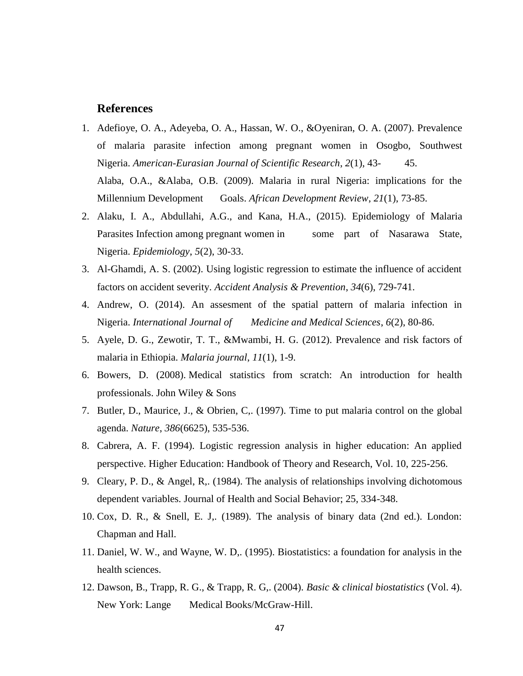#### **References**

- 1. Adefioye, O. A., Adeyeba, O. A., Hassan, W. O., &Oyeniran, O. A. (2007). Prevalence of malaria parasite infection among pregnant women in Osogbo, Southwest Nigeria. *American-Eurasian Journal of Scientific Research*, *2*(1), 43- 45. Alaba, O.A., &Alaba, O.B. (2009). Malaria in rural Nigeria: implications for the Millennium Development Goals. *African Development Review*, *21*(1), 73-85.
- 2. Alaku, I. A., Abdullahi, A.G., and Kana, H.A., (2015). Epidemiology of Malaria Parasites Infection among pregnant women in some part of Nasarawa State, Nigeria. *Epidemiology*, *5*(2), 30-33.
- 3. Al-Ghamdi, A. S. (2002). Using logistic regression to estimate the influence of accident factors on accident severity. *Accident Analysis & Prevention*, *34*(6), 729-741.
- 4. Andrew, O. (2014). An assesment of the spatial pattern of malaria infection in Nigeria. *International Journal of Medicine and Medical Sciences*, *6*(2), 80-86.
- 5. Ayele, D. G., Zewotir, T. T., &Mwambi, H. G. (2012). Prevalence and risk factors of malaria in Ethiopia. *Malaria journal*, *11*(1), 1-9.
- 6. Bowers, D. (2008). Medical statistics from scratch: An introduction for health professionals. John Wiley & Sons
- 7. Butler, D., Maurice, J., & Obrien, C,. (1997). Time to put malaria control on the global agenda. *Nature*, *386*(6625), 535-536.
- 8. Cabrera, A. F. (1994). Logistic regression analysis in higher education: An applied perspective. Higher Education: Handbook of Theory and Research, Vol. 10, 225-256.
- 9. Cleary, P. D., & Angel, R,. (1984). The analysis of relationships involving dichotomous dependent variables. Journal of Health and Social Behavior; 25, 334-348.
- 10. Cox, D. R., & Snell, E. J,. (1989). The analysis of binary data (2nd ed.). London: Chapman and Hall.
- 11. Daniel, W. W., and Wayne, W. D,. (1995). Biostatistics: a foundation for analysis in the health sciences.
- 12. Dawson, B., Trapp, R. G., & Trapp, R. G,. (2004). *Basic & clinical biostatistics* (Vol. 4). New York: Lange Medical Books/McGraw-Hill.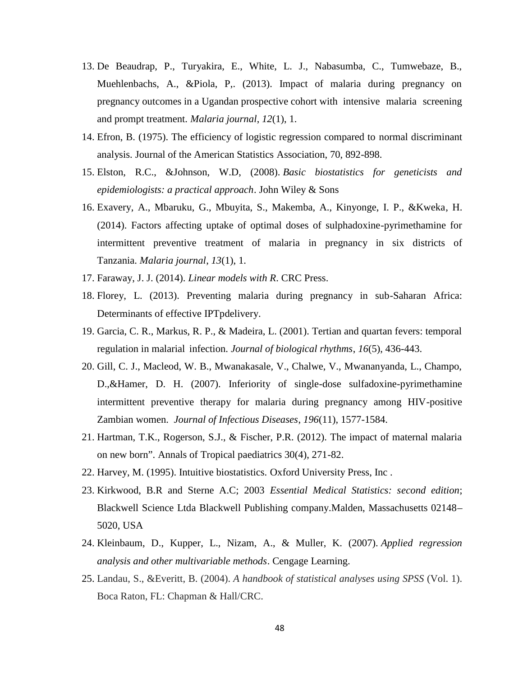- 13. De Beaudrap, P., Turyakira, E., White, L. J., Nabasumba, C., Tumwebaze, B., Muehlenbachs, A., &Piola, P,. (2013). Impact of malaria during pregnancy on pregnancy outcomes in a Ugandan prospective cohort with intensive malaria screening and prompt treatment. *Malaria journal*, *12*(1), 1.
- 14. Efron, B. (1975). The efficiency of logistic regression compared to normal discriminant analysis. Journal of the American Statistics Association, 70, 892-898.
- 15. Elston, R.C., &Johnson, W.D, (2008). *Basic biostatistics for geneticists and epidemiologists: a practical approach*. John Wiley & Sons
- 16. Exavery, A., Mbaruku, G., Mbuyita, S., Makemba, A., Kinyonge, I. P., &Kweka, H. (2014). Factors affecting uptake of optimal doses of sulphadoxine-pyrimethamine for intermittent preventive treatment of malaria in pregnancy in six districts of Tanzania. *Malaria journal*, *13*(1), 1.
- 17. Faraway, J. J. (2014). *Linear models with R*. CRC Press.
- 18. Florey, L. (2013). Preventing malaria during pregnancy in sub-Saharan Africa: Determinants of effective IPTpdelivery.
- 19. Garcia, C. R., Markus, R. P., & Madeira, L. (2001). Tertian and quartan fevers: temporal regulation in malarial infection. *Journal of biological rhythms*, *16*(5), 436-443.
- 20. Gill, C. J., Macleod, W. B., Mwanakasale, V., Chalwe, V., Mwananyanda, L., Champo, D.,&Hamer, D. H. (2007). Inferiority of single-dose sulfadoxine-pyrimethamine intermittent preventive therapy for malaria during pregnancy among HIV-positive Zambian women. *Journal of Infectious Diseases*, *196*(11), 1577-1584.
- 21. Hartman, T.K., Rogerson, S.J., & Fischer, P.R. (2012). The impact of maternal malaria on new born". Annals of Tropical paediatrics 30(4), 271-82.
- 22. Harvey, M. (1995). Intuitive biostatistics. Oxford University Press, Inc .
- 23. Kirkwood, B.R and Sterne A.C; 2003 *Essential Medical Statistics: second edition*; Blackwell Science Ltda Blackwell Publishing company.Malden, Massachusetts 02148– 5020, USA
- 24. Kleinbaum, D., Kupper, L., Nizam, A., & Muller, K. (2007). *Applied regression analysis and other multivariable methods*. Cengage Learning.
- 25. Landau, S., &Everitt, B. (2004). *A handbook of statistical analyses using SPSS* (Vol. 1). Boca Raton, FL: Chapman & Hall/CRC.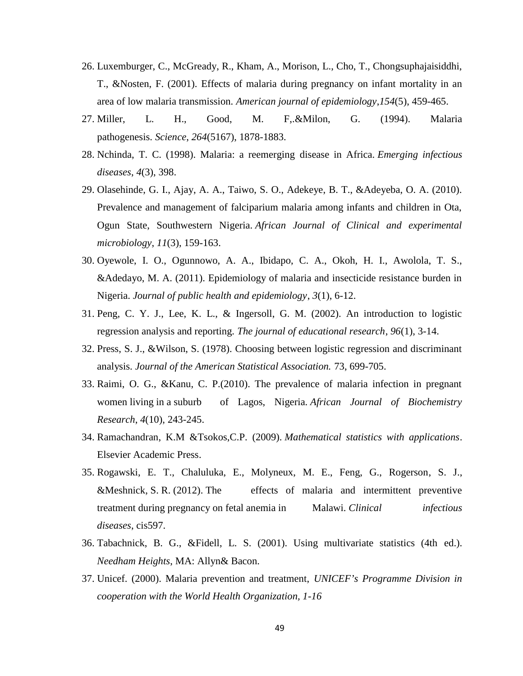- 26. Luxemburger, C., McGready, R., Kham, A., Morison, L., Cho, T., Chongsuphajaisiddhi, T., &Nosten, F. (2001). Effects of malaria during pregnancy on infant mortality in an area of low malaria transmission. *American journal of epidemiology*,*154*(5), 459-465.
- 27. Miller, L. H., Good, M. F,.&Milon, G. (1994). Malaria pathogenesis. *Science*, *264*(5167), 1878-1883.
- 28. Nchinda, T. C. (1998). Malaria: a reemerging disease in Africa. *Emerging infectious diseases*, *4*(3), 398.
- 29. Olasehinde, G. I., Ajay, A. A., Taiwo, S. O., Adekeye, B. T., &Adeyeba, O. A. (2010). Prevalence and management of falciparium malaria among infants and children in Ota, Ogun State, Southwestern Nigeria. *African Journal of Clinical and experimental microbiology*, *11*(3), 159-163.
- 30. Oyewole, I. O., Ogunnowo, A. A., Ibidapo, C. A., Okoh, H. I., Awolola, T. S., &Adedayo, M. A. (2011). Epidemiology of malaria and insecticide resistance burden in Nigeria. *Journal of public health and epidemiology*, *3*(1), 6-12.
- 31. Peng, C. Y. J., Lee, K. L., & Ingersoll, G. M. (2002). An introduction to logistic regression analysis and reporting. *The journal of educational research*, *96*(1), 3-14.
- 32. Press, S. J., &Wilson, S. (1978). Choosing between logistic regression and discriminant analysis. *Journal of the American Statistical Association.* 73, 699-705.
- 33. Raimi, O. G., &Kanu, C. P.(2010). The prevalence of malaria infection in pregnant women living in a suburb of Lagos, Nigeria. *African Journal of Biochemistry Research*, *4*(10), 243-245.
- 34. Ramachandran, K.M &Tsokos,C.P. (2009). *Mathematical statistics with applications*. Elsevier Academic Press.
- 35. Rogawski, E. T., Chaluluka, E., Molyneux, M. E., Feng, G., Rogerson, S. J., &Meshnick, S. R. (2012). The effects of malaria and intermittent preventive treatment during pregnancy on fetal anemia in Malawi. *Clinical infectious diseases*, cis597.
- 36. Tabachnick, B. G., &Fidell, L. S. (2001). Using multivariate statistics (4th ed.). *Needham Heights*, MA: Allyn& Bacon.
- 37. Unicef. (2000). Malaria prevention and treatment, *UNICEF's Programme Division in cooperation with the World Health Organization, 1-16*